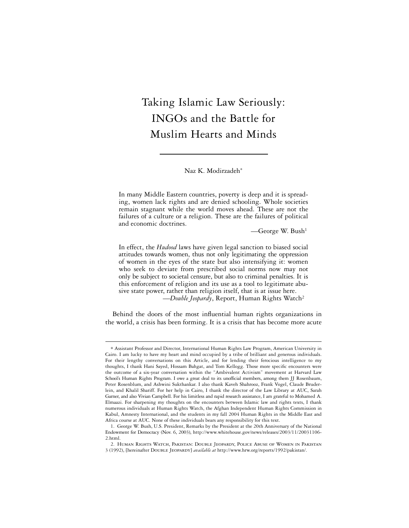# Taking Islamic Law Seriously: INGOs and the Battle for Muslim Hearts and Minds

Naz K. Modirzadeh<sup>∗</sup>

In many Middle Eastern countries, poverty is deep and it is spreading, women lack rights and are denied schooling. Whole societies remain stagnant while the world moves ahead. These are not the failures of a culture or a religion. These are the failures of political and economic doctrines.

—George W. Bush1

In effect, the *Hudood* laws have given legal sanction to biased social attitudes towards women, thus not only legitimating the oppression of women in the eyes of the state but also intensifying it: women who seek to deviate from prescribed social norms now may not only be subject to societal censure, but also to criminal penalties. It is this enforcement of religion and its use as a tool to legitimate abusive state power, rather than religion itself, that is at issue here. —*Double Jeopardy*, Report, Human Rights Watch2

Behind the doors of the most influential human rights organizations in the world, a crisis has been forming. It is a crisis that has become more acute

<sup>∗</sup> Assistant Professor and Director, International Human Rights Law Program, American University in Cairo. I am lucky to have my heart and mind occupied by a tribe of brilliant and generous individuals. For their lengthy conversations on this Article, and for lending their ferocious intelligence to my thoughts, I thank Hani Sayed, Hossam Bahgat, and Tom Kellogg. Those more specific encounters were the outcome of a six-year conversation within the "Ambivalent Activism" movement at Harvard Law School's Human Rights Program. I owe a great deal to its unofficial members, among them JJ Rosenbaum, Peter Rosenblum, and Ashwini Sukthankar. I also thank Kaveh Shahrooz, Frank Vogel, Claude Bruderlein, and Khalil Shariff. For her help in Cairo, I thank the director of the Law Library at AUC, Sarah Garner, and also Vivian Campbell. For his limitless and rapid research assistance, I am grateful to Mohamed A. Elmaazi. For sharpening my thoughts on the encounters between Islamic law and rights texts, I thank numerous individuals at Human Rights Watch, the Afghan Independent Human Rights Commission in Kabul, Amnesty International, and the students in my fall 2004 Human Rights in the Middle East and Africa course at AUC. None of these individuals bears any responsibility for this text.

<sup>1.</sup> George W. Bush, U.S. President, Remarks by the President at the 20th Anniversary of the National Endowment for Democracy (Nov. 6, 2003), http://www.whitehouse.gov/news/releases/2003/11/20031106- 2.html.

<sup>2.</sup> Human Rights Watch, Pakistan: Double Jeopardy, Police Abuse of Women in Pakistan 3 (1992), [hereinafter Double Jeopardy] *available at* http://www.hrw.org/reports/1992/pakistan/.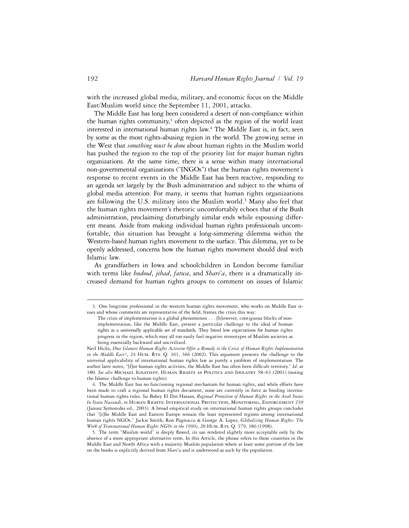with the increased global media, military, and economic focus on the Middle East/Muslim world since the September 11, 2001, attacks.

The Middle East has long been considered a desert of non-compliance within the human rights community, $3$  often depicted as the region of the world least interested in international human rights law.<sup>4</sup> The Middle East is, in fact, seen by some as the most rights-abusing region in the world. The growing sense in the West that *something must be done* about human rights in the Muslim world has pushed the region to the top of the priority list for major human rights organizations. At the same time, there is a sense within many international non-governmental organizations ("INGOs") that the human rights movement's response to recent events in the Middle East has been reactive, responding to an agenda set largely by the Bush administration and subject to the whims of global media attention. For many, it seems that human rights organizations are following the U.S. military into the Muslim world.<sup>5</sup> Many also feel that the human rights movement's rhetoric uncomfortably echoes that of the Bush administration, proclaiming disturbingly similar ends while espousing different means. Aside from making individual human rights professionals uncomfortable, this situation has brought a long-simmering dilemma within the Western-based human rights movement to the surface. This dilemma, yet to be openly addressed, concerns how the human rights movement should deal with Islamic law.

As grandfathers in Iowa and schoolchildren in London become familiar with terms like *hudood*, *jihad*, *fatwa*, and *Shari'a*, there is a dramatically increased demand for human rights groups to comment on issues of Islamic

<sup>3.</sup> One longtime professional in the western human rights movement, who works on Middle East issues and whose comments are representative of the field, frames the crisis this way:

The crisis of implementation is a global phenomenon . . . [h]owever, contiguous blocks of nonimplementation, like the Middle East, present a particular challenge to the ideal of human rights as a universally applicable set of standards. They breed low expectations for human rights progress in the region, which may all too easily fuel negative stereotypes of Muslim societies as being essentially backward and uncivilized.

Neil Hicks, *Does Islamist Human Rights Activism Offer a Remedy to the Crisis of Human Rights Implementation in the Middle East?*, 24 HUM. RTs. Q. 361, 366 (2002). This argument presents the challenge to the universal applicability of international human rights law as purely a problem of implementation. The author later notes, "[flor human rights activists, the Middle East has often been difficult territory." *Id.* at 380. *See also* Michael Ignatieff, Human Rights as Politics and Idolatry 58–63 (2001) (noting the Islamic challenge to human rights).

<sup>4.</sup> The Middle East has no functioning regional mechanism for human rights, and while efforts have been made to craft a regional human rights document, none are currently in force as binding international human rights rules. *See* Bahey El Din Hassan, *Regional Protection of Human Rights in the Arab States In Statu Nascendi*, *in* Human Rights: International Protection, Monitoring, Enforcement 239 (Janusz Symonides ed., 2003). A broad empirical study on international human rights groups concludes that "[t]he Middle East and Eastern Europe remain the least represented regions among international human rights NGOs." Jackie Smith, Ron Pagnucco & George A. Lopez, *Globalizing Human Rights: The*  Work of Transnational Human Rights NGOs in the 1990s, 20 HUM. RTS. Q. 379, 386 (1998).

<sup>5.</sup> The term "Muslim world" is deeply flawed, its use rendered slightly more acceptable only by the absence of a more appropriate alternative term. In this Article, the phrase refers to those countries in the Middle East and North Africa with a majority Muslim population where at least some portion of the law on the books is explicitly derived from *Shari'a* and is understood as such by the population.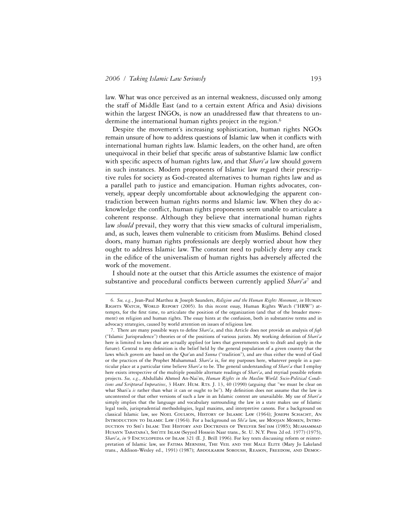1

law. What was once perceived as an internal weakness, discussed only among the staff of Middle East (and to a certain extent Africa and Asia) divisions within the largest INGOs, is now an unaddressed flaw that threatens to undermine the international human rights project in the region.<sup>6</sup>

Despite the movement's increasing sophistication, human rights NGOs remain unsure of how to address questions of Islamic law when it conflicts with international human rights law. Islamic leaders, on the other hand, are often unequivocal in their belief that specific areas of substantive Islamic law conflict with specific aspects of human rights law, and that *Shari'a* law should govern in such instances. Modern proponents of Islamic law regard their prescriptive rules for society as God-created alternatives to human rights law and as a parallel path to justice and emancipation. Human rights advocates, conversely, appear deeply uncomfortable about acknowledging the apparent contradiction between human rights norms and Islamic law. When they do acknowledge the conflict, human rights proponents seem unable to articulate a coherent response. Although they believe that international human rights law *should* prevail, they worry that this view smacks of cultural imperialism, and, as such, leaves them vulnerable to criticism from Muslims. Behind closed doors, many human rights professionals are deeply worried about how they ought to address Islamic law. The constant need to publicly deny any crack in the edifice of the universalism of human rights has adversely affected the work of the movement.

I should note at the outset that this Article assumes the existence of major substantive and procedural conflicts between currently applied *Shari'a<sup>7</sup>* and

<sup>6.</sup> *See, e.g.*, Jean-Paul Marthoz & Joseph Saunders, *Religion and the Human Rights Movement*, *in* Human Rights Watch, World Report (2005). In this recent essay, Human Rights Watch ("HRW") attempts, for the first time, to articulate the position of the organization (and that of the broader movement) on religion and human rights. The essay hints at the confusion, both in substantive terms and in advocacy strategies, caused by world attention on issues of religious law.

<sup>7.</sup> There are many possible ways to define *Shari'a*, and this Article does not provide an analysis of *fiqh* ("Islamic Jurisprudence") theories or of the positions of various jurists. My working definition of *Shari'a* here is limited to laws that are actually applied (or laws that governments seek to draft and apply in the future). Central to my definition is the belief held by the general population of a given country that the laws which govern are based on the Qur'an and *Sunna* ("tradition"), and are thus either the word of God or the practices of the Prophet Muhammad. *Shari'a* is, for my purposes here, whatever people in a particular place at a particular time believe *Shari'a* to be. The general understanding of *Shari'a* that I employ here exists irrespective of the multiple possible alternate readings of *Shari'a*, and myriad possible reform projects. *See, e.g.*, Abdullahi Ahmed An-Nai'm, *Human Rights in the Muslim World: Socio-Political Conditions and Scriptural Imperatives*, 3 Harv. Hum. Rts. J. 13, 40 (1990) (arguing that "we must be clear on what Shari'a is rather than what it can or ought to be"). My definition does not assume that the law is uncontested or that other versions of such a law in an Islamic context are unavailable. My use of *Shari'a* simply implies that the language and vocabulary surrounding the law in a state makes use of Islamic legal tools, jurisprudential methodologies, legal maxims, and interpretive canons. For a background on classical Islamic law, see Noel Coulson, History of Islamic Law (1964); Joseph Schacht, An Introduction to Islamic Law (1964). For a background on *Shi'a* law, see Moojan Momen, Introduction to Shi`i Islam: The History and Doctrines of Twelver Shi`ism (1985); Muahammad HUSAYN TABATABA'I, SHI'ITE ISLAM (Seyyed Hossein Nasr trans., St. U. N.Y. Press 2d ed. 1977) (1975), *Shari'a*, *in* 9 ENCYCLOPEDIA OF ISLAM 321 (E. J. Brill 1996). For key texts discussing reform or reinterpretation of Islamic law, see Fatima Mernissi, The Veil and the Male Elite (Mary Jo Lakeland trans., Addison-Wesley ed., 1991) (1987); ABDOLKARIM SOROUSH, REASON, FREEDOM, AND DEMOC-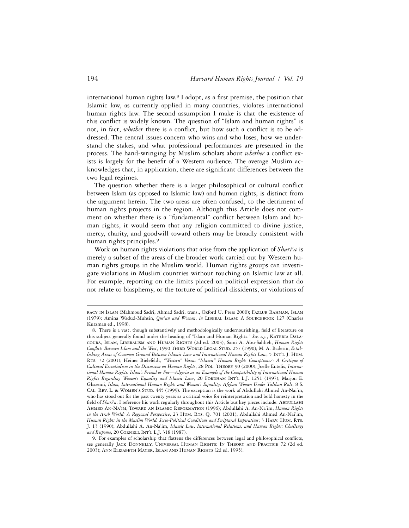international human rights law.<sup>8</sup> I adopt, as a first premise, the position that Islamic law, as currently applied in many countries, violates international human rights law. The second assumption I make is that the existence of this conflict is widely known. The question of "Islam and human rights" is not, in fact, *whether* there is a conflict, but how such a conflict is to be addressed. The central issues concern who wins and who loses, how we understand the stakes, and what professional performances are presented in the process. The hand-wringing by Muslim scholars about *whether* a conflict exists is largely for the benefit of a Western audience. The average Muslim acknowledges that, in application, there are significant differences between the two legal regimes.

The question whether there is a larger philosophical or cultural conflict between Islam (as opposed to Islamic law) and human rights, is distinct from the argument herein. The two areas are often confused, to the detriment of human rights projects in the region. Although this Article does not comment on whether there is a "fundamental" conflict between Islam and human rights, it would seem that any religion committed to divine justice, mercy, charity, and goodwill toward others may be broadly consistent with human rights principles.<sup>9</sup>

Work on human rights violations that arise from the application of *Shari'a* is merely a subset of the areas of the broader work carried out by Western human rights groups in the Muslim world. Human rights groups can investigate violations in Muslim countries without touching on Islamic law at all. For example, reporting on the limits placed on political expression that do not relate to blasphemy, or the torture of political dissidents, or violations of

racy in Islam (Mahmoud Sadri, Ahmad Sadri, trans., Oxford U. Press 2000); Fazlur Rahman, Islam (1979); Amina Wadud-Muhsin, *Qur'an and Woman*, *in* Liberal Islam: A Sourcebook 127 (Charles Kurzman ed., 1998).

<sup>8.</sup> There is a vast, though substantively and methodologically undernourishing, field of literature on this subject generally found under the heading of "Islam and Human Rights." *See, e.g.*, Kateria Dalacoura, Islam, Liberalism and Human Rights (2d ed. 2003); Sami A. Abu-Sahlieh, *Human Rights*  Conflicts Between Islam and the West, 1990 THIRD WORLD LEGAL STUD. 257 (1990); M. A. Baderin, Estab*lishing Areas of Common Ground Between Islamic Law and International Human Rights Law*, 5 Int'l J. Hum. Rts. 72 (2001); Heiner Bielefeldt, *"Western" Versus "Islamic" Human Rights Conceptions?: A Critique of Cultural Essentialism in the Discussion on Human Rights*, 28 Pol. Theory 90 (2000); Joelle Entelis, *International Human Rights: Islam's Friend or Foe—Algeria as an Example of the Compatibility of International Human*  Rights Regarding Women's Equality and Islamic Law, 20 FORDHAM INT'L L.J. 1251 (1997); Marjon E. Ghasemi, *Islam, International Human Rights and Women's Equality: Afghan Women Under Taliban Rule*, 8 S. CAL. REV. L. & WOMEN'S STUD. 445 (1999). The exception is the work of Abdullahi Ahmed An-Nai'm, who has stood out for the past twenty years as a critical voice for reinterpretation and bold honesty in the field of *Shari'a*. I reference his work regularly throughout this Article but key pieces include: ABDULLAHI Ahmed An-Na'im, Toward an Islamic Reformation (1996); Abdullahi A. An-Na'im, *Human Rights in the Arab World: A Regional Perspective*, 23 HUM. RTS. Q. 701 (2001); Abdullahi Ahmed An-Nai'im, *Human Rights in the Muslim World: Socio-Political Conditions and Scriptural Imperatives*; 3 Harv. Hum. Rts. J. 13 (1990); Abdullahi A. An-Na'im, *Islamic Law, International Relations, and Human Rights: Challenge and Response*, 20 Cornell Int'l L.J. 318 (1987).

<sup>9.</sup> For examples of scholarship that flattens the differences between legal and philosophical conflicts, see generally Jack Donnelly, Universal Human Rights: In Theory and Practice 72 (2d ed. 2003); Ann Elizabeth Mayer, Islam and Human Rights (2d ed. 1995).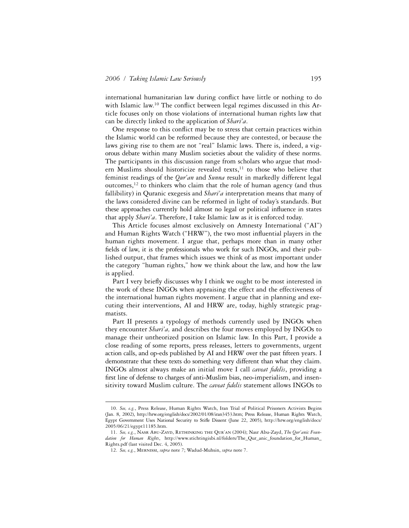international humanitarian law during conflict have little or nothing to do with Islamic law.<sup>10</sup> The conflict between legal regimes discussed in this Article focuses only on those violations of international human rights law that can be directly linked to the application of *Shari'a*.

One response to this conflict may be to stress that certain practices within the Islamic world can be reformed because they are contested, or because the laws giving rise to them are not "real" Islamic laws. There is, indeed, a vigorous debate within many Muslim societies about the validity of these norms. The participants in this discussion range from scholars who argue that modern Muslims should historicize revealed texts,<sup>11</sup> to those who believe that feminist readings of the *Qur'an* and *Sunna* result in markedly different legal outcomes,12 to thinkers who claim that the role of human agency (and thus fallibility) in Quranic exegesis and *Shari'a* interpretation means that many of the laws considered divine can be reformed in light of today's standards. But these approaches currently hold almost no legal or political influence in states that apply *Shari'a*. Therefore, I take Islamic law as it is enforced today.

This Article focuses almost exclusively on Amnesty International ("AI") and Human Rights Watch ("HRW"), the two most influential players in the human rights movement. I argue that, perhaps more than in many other fields of law, it is the professionals who work for such INGOs, and their published output, that frames which issues we think of as most important under the category "human rights," how we think about the law, and how the law is applied.

Part I very briefly discusses why I think we ought to be most interested in the work of these INGOs when appraising the effect and the effectiveness of the international human rights movement. I argue that in planning and executing their interventions, AI and HRW are, today, highly strategic pragmatists.

Part II presents a typology of methods currently used by INGOs when they encounter *Shari'a,* and describes the four moves employed by INGOs to manage their untheorized position on Islamic law. In this Part, I provide a close reading of some reports, press releases, letters to governments, urgent action calls, and op-eds published by AI and HRW over the past fifteen years. I demonstrate that these texts do something very different than what they claim. INGOs almost always make an initial move I call *caveat fidelis*, providing a first line of defense to charges of anti-Muslim bias, neo-imperialism, and insensitivity toward Muslim culture. The *caveat fidelis* statement allows INGOs to

<sup>10.</sup> *See, e.g.*, Press Release, Human Rights Watch, Iran Trial of Political Prisoners Activists Begins (Jan. 8, 2002), http://hrw.org/english/docs/2002/01/08/iran3453.htm; Press Release, Human Rights Watch, Egypt Government Uses National Security to Stifle Dissent (June 22, 2005), http://hrw.org/english/docs/ 2005/06/21/egypt11185.htm.

<sup>11.</sup> *See, e.g.*, Nasr Abu-Zayd, Rethinking the Qur'an (2004); Nasr Abu-Zayd, *The Qur'anic Foundation for Human Rights*, http://www.stichtingisbi.nl/folders/The\_Qur\_anic\_foundation\_for\_Human\_ Rights.pdf (last visited Dec. 4, 2005).

<sup>12.</sup> *See, e.g.*, Mernissi, *supra* note *7*; Wadud-Muhsin, *supra* note 7.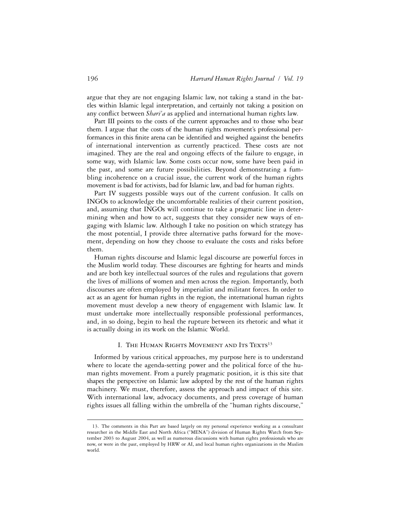argue that they are not engaging Islamic law, not taking a stand in the battles within Islamic legal interpretation, and certainly not taking a position on any conflict between *Shari'a* as applied and international human rights law.

Part III points to the costs of the current approaches and to those who bear them. I argue that the costs of the human rights movement's professional performances in this finite arena can be identified and weighed against the benefits of international intervention as currently practiced. These costs are not imagined. They are the real and ongoing effects of the failure to engage, in some way, with Islamic law. Some costs occur now, some have been paid in the past, and some are future possibilities. Beyond demonstrating a fumbling incoherence on a crucial issue, the current work of the human rights movement is bad for activists, bad for Islamic law, and bad for human rights.

Part IV suggests possible ways out of the current confusion. It calls on INGOs to acknowledge the uncomfortable realities of their current position, and, assuming that INGOs will continue to take a pragmatic line in determining when and how to act, suggests that they consider new ways of engaging with Islamic law. Although I take no position on which strategy has the most potential, I provide three alternative paths forward for the movement, depending on how they choose to evaluate the costs and risks before them.

Human rights discourse and Islamic legal discourse are powerful forces in the Muslim world today. These discourses are fighting for hearts and minds and are both key intellectual sources of the rules and regulations that govern the lives of millions of women and men across the region. Importantly, both discourses are often employed by imperialist and militant forces. In order to act as an agent for human rights in the region, the international human rights movement must develop a new theory of engagement with Islamic law. It must undertake more intellectually responsible professional performances, and, in so doing, begin to heal the rupture between its rhetoric and what it is actually doing in its work on the Islamic World.

## I. The Human Rights Movement and Its Texts<sup>13</sup>

Informed by various critical approaches, my purpose here is to understand where to locate the agenda-setting power and the political force of the human rights movement. From a purely pragmatic position, it is this site that shapes the perspective on Islamic law adopted by the rest of the human rights machinery. We must, therefore, assess the approach and impact of this site. With international law, advocacy documents, and press coverage of human rights issues all falling within the umbrella of the "human rights discourse,"

<sup>13.</sup> The comments in this Part are based largely on my personal experience working as a consultant researcher in the Middle East and North Africa ("MENA") division of Human Rights Watch from September 2003 to August 2004, as well as numerous discussions with human rights professionals who are now, or were in the past, employed by HRW or AI, and local human rights organizations in the Muslim world.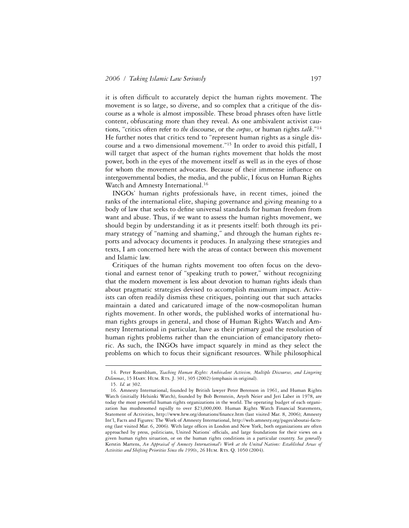it is often difficult to accurately depict the human rights movement. The movement is so large, so diverse, and so complex that a critique of the discourse as a whole is almost impossible. These broad phrases often have little content, obfuscating more than they reveal. As one ambivalent activist cautions, "critics often refer to *the* discourse, or the *corpus*, or human rights *talk*."14 He further notes that critics tend to "represent human rights as a single discourse and a two dimensional movement."15 In order to avoid this pitfall, I will target that aspect of the human rights movement that holds the most power, both in the eyes of the movement itself as well as in the eyes of those for whom the movement advocates. Because of their immense influence on intergovernmental bodies, the media, and the public, I focus on Human Rights Watch and Amnesty International.<sup>16</sup>

INGOs' human rights professionals have, in recent times, joined the ranks of the international elite, shaping governance and giving meaning to a body of law that seeks to define universal standards for human freedom from want and abuse. Thus, if we want to assess the human rights movement, we should begin by understanding it as it presents itself: both through its primary strategy of "naming and shaming," and through the human rights reports and advocacy documents it produces. In analyzing these strategies and texts, I am concerned here with the areas of contact between this movement and Islamic law.

Critiques of the human rights movement too often focus on the devotional and earnest tenor of "speaking truth to power," without recognizing that the modern movement is less about devotion to human rights ideals than about pragmatic strategies devised to accomplish maximum impact. Activists can often readily dismiss these critiques, pointing out that such attacks maintain a dated and caricatured image of the now-cosmopolitan human rights movement. In other words, the published works of international human rights groups in general, and those of Human Rights Watch and Amnesty International in particular, have as their primary goal the resolution of human rights problems rather than the enunciation of emancipatory rhetoric. As such, the INGOs have impact squarely in mind as they select the problems on which to focus their significant resources. While philosophical

<sup>14.</sup> Peter Rosenblum, *Teaching Human Rights: Ambivalent Activism, Multiple Discourses, and Lingering Dilemmas*, 15 Harv. Hum. Rts. J. 301, 305 (2002) (emphasis in original).

<sup>15.</sup> *Id.* at 302.

<sup>16.</sup> Amnesty International, founded by British lawyer Peter Berenson in 1961, and Human Rights Watch (initially Helsinki Watch), founded by Bob Bernstein, Aryeh Neier and Jeri Laber in 1978, are today the most powerful human rights organizations in the world. The operating budget of each organization has mushroomed rapidly to over \$23,000,000. Human Rights Watch Financial Statements, Statement of Activities, http://www.hrw.org/donations/finance.htm (last visited Mar. 8, 2006); Amnesty Int'l, Facts and Figures: The Work of Amnesty International, http://web.amnesty.org/pages/aboutai-factseng (last visited Mar. 6, 2006). With large offices in London and New York, both organizations are often approached by press, politicians, United Nations' officials, and large foundations for their views on a given human rights situation, or on the human rights conditions in a particular country. *See generally* Kerstin Martens, *An Appraisal of Amnesty International's Work at the United Nations: Established Areas of*  Activities and Shifting Priorities Since the 1990s, 26 HUM. RTS. Q. 1050 (2004).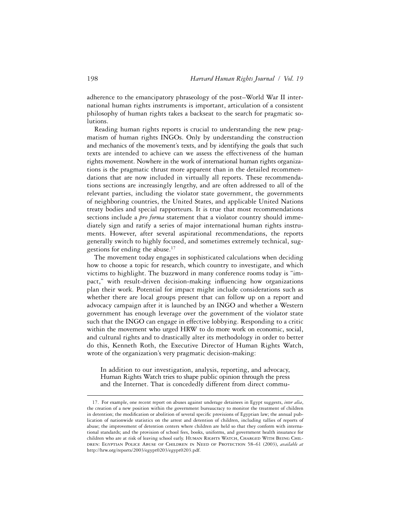adherence to the emancipatory phraseology of the post–World War II international human rights instruments is important, articulation of a consistent philosophy of human rights takes a backseat to the search for pragmatic solutions.

Reading human rights reports is crucial to understanding the new pragmatism of human rights INGOs. Only by understanding the construction and mechanics of the movement's texts, and by identifying the goals that such texts are intended to achieve can we assess the effectiveness of the human rights movement. Nowhere in the work of international human rights organizations is the pragmatic thrust more apparent than in the detailed recommendations that are now included in virtually all reports. These recommendations sections are increasingly lengthy, and are often addressed to all of the relevant parties, including the violator state government, the governments of neighboring countries, the United States, and applicable United Nations treaty bodies and special rapporteurs. It is true that most recommendations sections include a *pro forma* statement that a violator country should immediately sign and ratify a series of major international human rights instruments. However, after several aspirational recommendations, the reports generally switch to highly focused, and sometimes extremely technical, suggestions for ending the abuse.17

The movement today engages in sophisticated calculations when deciding how to choose a topic for research, which country to investigate, and which victims to highlight. The buzzword in many conference rooms today is "impact," with result-driven decision-making influencing how organizations plan their work. Potential for impact might include considerations such as whether there are local groups present that can follow up on a report and advocacy campaign after it is launched by an INGO and whether a Western government has enough leverage over the government of the violator state such that the INGO can engage in effective lobbying. Responding to a critic within the movement who urged HRW to do more work on economic, social, and cultural rights and to drastically alter its methodology in order to better do this, Kenneth Roth, the Executive Director of Human Rights Watch, wrote of the organization's very pragmatic decision-making:

In addition to our investigation, analysis, reporting, and advocacy, Human Rights Watch tries to shape public opinion through the press and the Internet. That is concededly different from direct commu-

<sup>17.</sup> For example, one recent report on abuses against underage detainees in Egypt suggests, *inter alia*, the creation of a new position within the government bureaucracy to monitor the treatment of children in detention; the modification or abolition of several specific provisions of Egyptian law; the annual publication of nationwide statistics on the arrest and detention of children, including tallies of reports of abuse; the improvement of detention centers where children are held so that they conform with international standards; and the provision of school fees, books, uniforms, and government health insurance for children who are at risk of leaving school early. HUMAN RIGHTS WATCH, CHARGED WITH BEING CHILdren: Egyptian Police Abuse of Children in Need of Protection 58–61 (2003), *available at* http://hrw.org/reports/2003/egypt0203/egypt0203.pdf.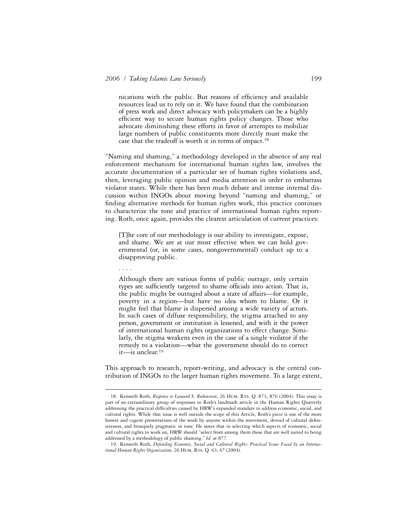nications with the public. But reasons of efficiency and available resources lead us to rely on it. We have found that the combination of press work and direct advocacy with policymakers can be a highly efficient way to secure human rights policy changes. Those who advocate diminishing these efforts in favor of attempts to mobilize large numbers of public constituents more directly must make the case that the tradeoff is worth it in terms of impact.<sup>18</sup>

"Naming and shaming," a methodology developed in the absence of any real enforcement mechanism for international human rights law, involves the accurate documentation of a particular set of human rights violations and, then, leveraging public opinion and media attention in order to embarrass violator states. While there has been much debate and intense internal discussion within INGOs about moving beyond "naming and shaming," or finding alternative methods for human rights work, this practice continues to characterize the tone and practice of international human rights reporting. Roth, once again, provides the clearest articulation of current practices:

[T]he core of our methodology is our ability to investigate, expose, and shame. We are at our most effective when we can hold governmental (or, in some cases, nongovernmental) conduct up to a disapproving public.

. . . .

1

Although there are various forms of public outrage, only certain types are sufficiently targeted to shame officials into action. That is, the public might be outraged about a state of affairs—for example, poverty in a region—but have no idea whom to blame. Or it might feel that blame is dispersed among a wide variety of actors. In such cases of diffuse responsibility, the stigma attached to any person, government or institution is lessened, and with it the power of international human rights organizations to effect change. Similarly, the stigma weakens even in the case of a single violator if the remedy to a violation—what the government should do to correct it—is unclear.19

This approach to research, report-writing, and advocacy is the central contribution of INGOs to the larger human rights movement. To a large extent,

<sup>18.</sup> Kenneth Roth, *Response to Leonard S. Rubenstein*, 26 Hum. Rts. Q. 873, 876 (2004). This essay is part of an extraordinary group of responses to Roth's landmark article in the Human Rights Quarterly addressing the practical difficulties caused by HRW's expanded mandate to address economic, social, and cultural rights. While that issue is well outside the scope of this Article, Roth's piece is one of the more honest and cogent presentations of the work by anyone within the movement, devoid of cultural defensiveness, and brusquely pragmatic in tone. He notes that in selecting which aspects of economic, social and cultural rights to work on, HRW should "select from among them those that are well suited to being addressed by a methodology of public shaming." *Id*. at 877.

<sup>19.</sup> Kenneth Roth, *Defending Economic, Social and Cultural Rights: Practical Issues Faced by an Interna*tional Human Rights Organization, 26 HUM. RTS. Q. 63, 67 (2004).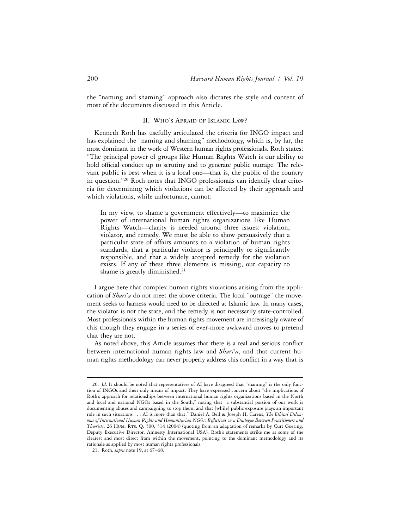the "naming and shaming" approach also dictates the style and content of most of the documents discussed in this Article.

## II. Who's Afraid of Islamic Law?

Kenneth Roth has usefully articulated the criteria for INGO impact and has explained the "naming and shaming" methodology, which is, by far, the most dominant in the work of Western human rights professionals. Roth states: "The principal power of groups like Human Rights Watch is our ability to hold official conduct up to scrutiny and to generate public outrage. The relevant public is best when it is a local one—that is, the public of the country in question."20 Roth notes that INGO professionals can identify clear criteria for determining which violations can be affected by their approach and which violations, while unfortunate, cannot:

In my view, to shame a government effectively—to maximize the power of international human rights organizations like Human Rights Watch—clarity is needed around three issues: violation, violator, and remedy. We must be able to show persuasively that a particular state of affairs amounts to a violation of human rights standards, that a particular violator is principally or significantly responsible, and that a widely accepted remedy for the violation exists. If any of these three elements is missing, our capacity to shame is greatly diminished.<sup>21</sup>

I argue here that complex human rights violations arising from the application of *Shari'a* do not meet the above criteria. The local "outrage" the movement seeks to harness would need to be directed at Islamic law. In many cases, the violator is not the state, and the remedy is not necessarily state-controlled. Most professionals within the human rights movement are increasingly aware of this though they engage in a series of ever-more awkward moves to pretend that they are not.

As noted above, this Article assumes that there is a real and serious conflict between international human rights law and *Shari'a*, and that current human rights methodology can never properly address this conflict in a way that is

<sup>20.</sup> *Id*. It should be noted that representatives of AI have disagreed that "shaming" is the only function of INGOs and their only means of impact. They have expressed concern about "the implications of Roth's approach for relationships between international human rights organizations based in the North and local and national NGOs based in the South," noting that "a substantial portion of our work is documenting abuses and campaigning to stop them, and that [while] public exposure plays an important role in such situations . . . AI is more than that." Daniel A. Bell & Joseph H. Carens, *The Ethical Dilem*mas of International Human Rights and Humanitarian NGOs: Reflections on a Dialogue Between Practitioners and *Theorists*, 26 Hum. Rts. Q. 300, 314 (2004) (quoting from an adaptation of remarks by Curt Goering, Deputy Executive Director, Amnesty International USA). Roth's statements strike me as some of the clearest and most direct from within the movement, pointing to the dominant methodology and its rationale as applied by most human rights professionals.

<sup>21.</sup> Roth, *supra* note 19, at 67–68.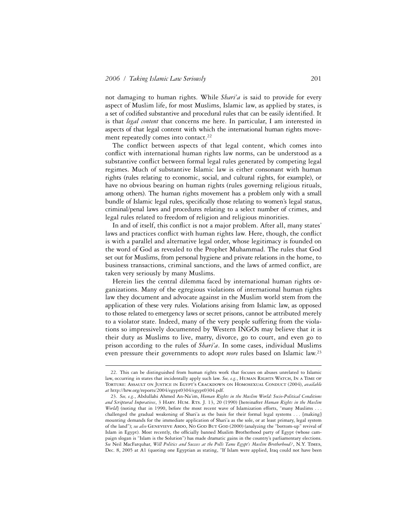1

not damaging to human rights. While *Shari'a* is said to provide for every aspect of Muslim life, for most Muslims, Islamic law, as applied by states, is a set of codified substantive and procedural rules that can be easily identified. It is that *legal content* that concerns me here. In particular, I am interested in aspects of that legal content with which the international human rights movement repeatedly comes into contact.<sup>22</sup>

The conflict between aspects of that legal content, which comes into conflict with international human rights law norms, can be understood as a substantive conflict between formal legal rules generated by competing legal regimes. Much of substantive Islamic law is either consonant with human rights (rules relating to economic, social, and cultural rights, for example), or have no obvious bearing on human rights (rules governing religious rituals, among others). The human rights movement has a problem only with a small bundle of Islamic legal rules, specifically those relating to women's legal status, criminal/penal laws and procedures relating to a select number of crimes, and legal rules related to freedom of religion and religious minorities.

In and of itself, this conflict is not a major problem. After all, many states' laws and practices conflict with human rights law. Here, though, the conflict is with a parallel and alternative legal order, whose legitimacy is founded on the word of God as revealed to the Prophet Muhammad. The rules that God set out for Muslims, from personal hygiene and private relations in the home, to business transactions, criminal sanctions, and the laws of armed conflict, are taken very seriously by many Muslims.

Herein lies the central dilemma faced by international human rights organizations. Many of the egregious violations of international human rights law they document and advocate against in the Muslim world stem from the application of these very rules. Violations arising from Islamic law, as opposed to those related to emergency laws or secret prisons, cannot be attributed merely to a violator state. Indeed, many of the very people suffering from the violations so impressively documented by Western INGOs may believe that it is their duty as Muslims to live, marry, divorce, go to court, and even go to prison according to the rules of *Shari'a*. In some cases, individual Muslims even pressure their governments to adopt *more* rules based on Islamic law.23

<sup>22.</sup> This can be distinguished from human rights work that focuses on abuses unrelated to Islamic law, occurring in states that incidentally apply such law. See, e.g., HUMAN RIGHTS WATCH, IN A TIME OF Torture: Assault on Justice in Egypt's Crackdown on Homosexual Conduct (2004), *available at* http://hrw.org/reports/2004/egypt0304/egypt0304.pdf.

<sup>23.</sup> *See, e.g.*, Abdullahi Ahmed An-Na'im, *Human Rights in the Muslim World: Socio-Political Conditions*  and Scriptural Imperatives, 3 HARV. HUM. RTS. J. 13, 20 (1990) [hereinafter *Human Rights in the Muslim World*] (noting that in 1990, before the most recent wave of Islamization efforts, "many Muslims . . . challenged the gradual weakening of Shari'a as the basis for their formal legal systems . . . [making] mounting demands for the immediate application of Shari'a as the sole, or at least primary, legal system of the land"); *see also* GENEVIEVE ABDO, NO GOD BUT GOD (2000) (analyzing the "bottom-up" revival of Islam in Egypt). Most recently, the officially banned Muslim Brotherhood party of Egypt (whose campaign slogan is "Islam is the Solution") has made dramatic gains in the country's parliamentary elections. *See* Neil MacFarquhar, *Will Politics and Success at the Polls Tame Egypt's Muslim Brotherhood?*, N.Y. Times, Dec. 8, 2005 at A1 (quoting one Egyptian as stating, "If Islam were applied, Iraq could not have been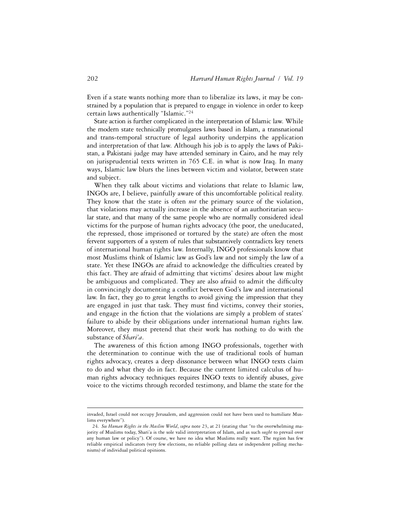Even if a state wants nothing more than to liberalize its laws, it may be constrained by a population that is prepared to engage in violence in order to keep certain laws authentically "Islamic."24

State action is further complicated in the interpretation of Islamic law. While the modern state technically promulgates laws based in Islam, a transnational and trans-temporal structure of legal authority underpins the application and interpretation of that law. Although his job is to apply the laws of Pakistan, a Pakistani judge may have attended seminary in Cairo, and he may rely on jurisprudential texts written in 765 C.E. in what is now Iraq. In many ways, Islamic law blurs the lines between victim and violator, between state and subject.

When they talk about victims and violations that relate to Islamic law, INGOs are, I believe, painfully aware of this uncomfortable political reality. They know that the state is often *not* the primary source of the violation, that violations may actually increase in the absence of an authoritarian secular state, and that many of the same people who are normally considered ideal victims for the purpose of human rights advocacy (the poor, the uneducated, the repressed, those imprisoned or tortured by the state) are often the most fervent supporters of a system of rules that substantively contradicts key tenets of international human rights law. Internally, INGO professionals know that most Muslims think of Islamic law as God's law and not simply the law of a state. Yet these INGOs are afraid to acknowledge the difficulties created by this fact. They are afraid of admitting that victims' desires about law might be ambiguous and complicated. They are also afraid to admit the difficulty in convincingly documenting a conflict between God's law and international law. In fact, they go to great lengths to avoid giving the impression that they are engaged in just that task. They must find victims, convey their stories, and engage in the fiction that the violations are simply a problem of states' failure to abide by their obligations under international human rights law. Moreover, they must pretend that their work has nothing to do with the substance of *Shari'a*.

The awareness of this fiction among INGO professionals, together with the determination to continue with the use of traditional tools of human rights advocacy, creates a deep dissonance between what INGO texts claim to do and what they do in fact. Because the current limited calculus of human rights advocacy techniques requires INGO texts to identify abuses, give voice to the victims through recorded testimony, and blame the state for the

invaded, Israel could not occupy Jerusalem, and aggression could not have been used to humiliate Muslims everywhere").

<sup>24.</sup> *See Human Rights in the Muslim World*, *supra* note 23, at 21 (stating that "to the overwhelming majority of Muslims today, Shari'a is the sole valid interpretation of Islam, and as such *ought* to prevail over any human law or policy"). Of course, we have no idea what Muslims really want. The region has few reliable empirical indicators (very few elections, no reliable polling data or independent polling mechanisms) of individual political opinions.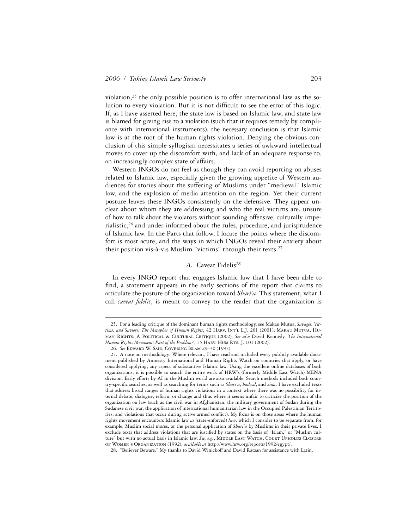violation,<sup>25</sup> the only possible position is to offer international law as the solution to every violation. But it is not difficult to see the error of this logic. If, as I have asserted here, the state law is based on Islamic law, and state law is blamed for giving rise to a violation (such that it requires remedy by compliance with international instruments), the necessary conclusion is that Islamic law is at the root of the human rights violation. Denying the obvious conclusion of this simple syllogism necessitates a series of awkward intellectual moves to cover up the discomfort with, and lack of an adequate response to, an increasingly complex state of affairs.

Western INGOs do not feel as though they can avoid reporting on abuses related to Islamic law, especially given the growing appetite of Western audiences for stories about the suffering of Muslims under "medieval" Islamic law, and the explosion of media attention on the region. Yet their current posture leaves these INGOs consistently on the defensive. They appear unclear about whom they are addressing and who the real victims are, unsure of how to talk about the violators without sounding offensive, culturally imperialistic,26 and under-informed about the rules, procedure, and jurisprudence of Islamic law. In the Parts that follow, I locate the points where the discomfort is most acute, and the ways in which INGOs reveal their anxiety about their position vis-à-vis Muslim "victims" through their texts.27

#### *A.* Caveat Fidelis*<sup>28</sup>*

In every INGO report that engages Islamic law that I have been able to find, a statement appears in the early sections of the report that claims to articulate the posture of the organization toward *Shari'a.* This statement, what I call *caveat fidelis*, is meant to convey to the reader that the organization is

<sup>25.</sup> For a leading critique of the dominant human rights methodology, see Makau Mutua, *Savages, Victims, and Saviors: The Metaphor of Human Rights*, 42 Harv. Int'l L.J. 201 (2001); Makau Mutua, Human Rights: A Political & Cultural Critique (2002). *See also* David Kennedy, *The International*  Human Rights Movement: Part of the Problem?, 15 HARV. HUM RTS. J. 101 (2002).

<sup>26.</sup> *See* Edward W. Said, Covering Islam 29–30 (1997).

<sup>27.</sup> A note on methodology: Where relevant, I have read and included every publicly available document published by Amnesty International and Human Rights Watch on countries that apply, or have considered applying, any aspect of substantive Islamic law. Using the excellent online databases of both organizations, it is possible to search the entire work of HRW's (formerly Middle East Watch) MENA division. Early efforts by AI in the Muslim world are also available. Search methods included both country-specific searches, as well as searching for terms such as *Shari'a*, *hudood*, and *zina*. I have excluded texts that address broad ranges of human rights violations in a context where there was no possibility for internal debate, dialogue, reform, or change and thus where it seems unfair to criticize the position of the organization on law (such as the civil war in Afghanistan, the military government of Sudan during the Sudanese civil war, the application of international humanitarian law in the Occupied Palestinian Territories, and violations that occur during active armed conflict). My focus is on those areas where the human rights movement encounters Islamic law *as* (state-enforced) *law*, which I consider to be separate from, for example, Muslim social mores, or the personal application of *Shari'a* by Muslims in their private lives. I exclude texts that address violations that are justified by states on the basis of "Islam," or "Muslim culture" but with no actual basis in Islamic law. See, e.g., MIDDLE EAST WATCH, COURT UPHOLDS CLOSURE of Women's Organization (1992), *available at* http://www.hrw.org/reports/1992/egypt/.

<sup>28. &</sup>quot;Believer Beware." My thanks to David Winickoff and David Ratzan for assistance with Latin.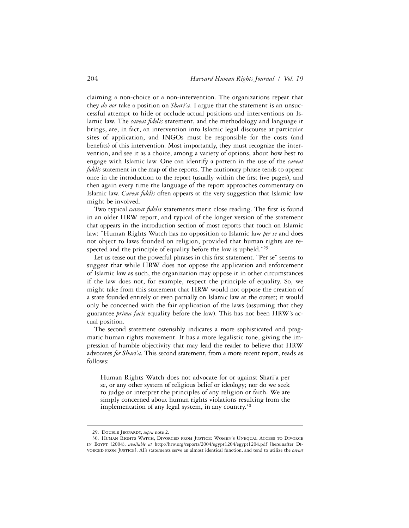claiming a non-choice or a non-intervention. The organizations repeat that they *do not* take a position on *Shari'a*. I argue that the statement is an unsuccessful attempt to hide or occlude actual positions and interventions on Islamic law. The *caveat fidelis* statement, and the methodology and language it brings, are, in fact, an intervention into Islamic legal discourse at particular sites of application, and INGOs must be responsible for the costs (and benefits) of this intervention. Most importantly, they must recognize the intervention, and see it as a choice, among a variety of options, about how best to engage with Islamic law. One can identify a pattern in the use of the *caveat fidelis* statement in the map of the reports. The cautionary phrase tends to appear once in the introduction to the report (usually within the first five pages), and then again every time the language of the report approaches commentary on Islamic law. *Caveat fidelis* often appears at the very suggestion that Islamic law might be involved.

Two typical *caveat fidelis* statements merit close reading. The first is found in an older HRW report, and typical of the longer version of the statement that appears in the introduction section of most reports that touch on Islamic law: "Human Rights Watch has no opposition to Islamic law *per se* and does not object to laws founded on religion, provided that human rights are respected and the principle of equality before the law is upheld."29

Let us tease out the powerful phrases in this first statement. "Per se" seems to suggest that while HRW does not oppose the application and enforcement of Islamic law as such, the organization may oppose it in other circumstances if the law does not, for example, respect the principle of equality. So, we might take from this statement that HRW would not oppose the creation of a state founded entirely or even partially on Islamic law at the outset; it would only be concerned with the fair application of the laws (assuming that they guarantee *prima facie* equality before the law). This has not been HRW's actual position.

The second statement ostensibly indicates a more sophisticated and pragmatic human rights movement. It has a more legalistic tone, giving the impression of humble objectivity that may lead the reader to believe that HRW advocates *for Shari'a*. This second statement, from a more recent report, reads as follows:

Human Rights Watch does not advocate for or against Shari'a per se, or any other system of religious belief or ideology; nor do we seek to judge or interpret the principles of any religion or faith. We are simply concerned about human rights violations resulting from the implementation of any legal system, in any country.<sup>30</sup>

<sup>29.</sup> Double Jeopardy, *supra* note 2.

<sup>30.</sup> Human Rights Watch, Divorced from Justice: Women's Unequal Access to Divorce in Egypt (2004), *available at* http://hrw.org/reports/2004/egypt1204/egypt1204.pdf [hereinafter Divorced from Justice]. AI's statements serve an almost identical function, and tend to utilize the *caveat*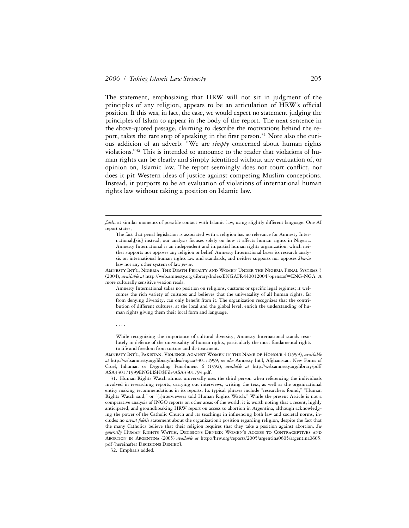The statement, emphasizing that HRW will not sit in judgment of the principles of any religion, appears to be an articulation of HRW's official position. If this was, in fact, the case, we would expect no statement judging the principles of Islam to appear in the body of the report. The next sentence in the above-quoted passage, claiming to describe the motivations behind the report, takes the rare step of speaking in the first person.<sup>31</sup> Note also the curious addition of an adverb: "We are *simply* concerned about human rights violations."32 This is intended to announce to the reader that violations of human rights can be clearly and simply identified without any evaluation of, or opinion on, Islamic law. The report seemingly does not court conflict, nor does it pit Western ideas of justice against competing Muslim conceptions. Instead, it purports to be an evaluation of violations of international human rights law without taking a position on Islamic law.

Amnesty Int'l, Nigeria: The Death Penalty and Women Under the Nigeria Penal Systems 3 (2004), *available at* http://web.amnesty.org/library/Index/ENGAFR440012004?open&of=ENG-NGA. A more culturally sensitive version reads,

Amnesty International takes no position on religions, customs or specific legal regimes; it welcomes the rich variety of cultures and believes that the universality of all human rights, far from denying diversity, can only benefit from it. The organization recognizes that the contribution of different cultures, at the local and the global level, enrich the understanding of human rights giving them their local form and language.

. . . .

1

While recognizing the importance of cultural diversity, Amnesty International stands resolutely in defence of the universality of human rights, particularly the most fundamental rights to life and freedom from torture and ill-treatment.

Amnesty Int'l, Pakistan: Violence Against Women in the Name of Honour 4 (1999), *available at* http://web.amnesty.org/library/index/engasa330171999; *see also* Amnesty Int'l, Afghanistan: New Forms of Cruel, Inhuman or Degrading Punishment 6 (1992), *available at* http://web.amnesty.org/library/pdf/ ASA330171999ENGLISH/\$File/ASA3301799.pdf.

31. Human Rights Watch almost universally uses the third person when referencing the individuals involved in researching reports, carrying out interviews, writing the text, as well as the organizational entity making recommendations in its reports. Its typical phrases include "researchers found," "Human Rights Watch said," or "[i]nterviewees told Human Rights Watch." While the present Article is not a comparative analysis of INGO reports on other areas of the world, it is worth noting that a recent, highly anticipated, and groundbreaking HRW report on access to abortion in Argentina, although acknowledging the power of the Catholic Church and its teachings in influencing both law and societal norms, includes no *caveat ªdelis* statement about the organization's position regarding religion, despite the fact that the many Catholics believe that their religion requires that they take a position against abortion. *See generally* Human Rights Watch, Decisions Denied: Women's Access to Contraceptives and Abortion in Argentina (2005) *available at* http://hrw.org/reports/2005/argentina0605/argentina0605. pdf [hereinafter DECISIONS DENIED].

32. Emphasis added.

*ªdelis* at similar moments of possible contact with Islamic law, using slightly different language. One AI report states,

The fact that penal legislation is associated with a religion has no relevance for Amnesty International,[sic] instead, our analysis focuses solely on how it affects human rights in Nigeria. Amnesty International is an independent and impartial human rights organization, which neither supports nor opposes any religion or belief. Amnesty International bases its research analysis on international human rights law and standards, and neither supports nor opposes *Sharia* law nor any other system of law *per se*.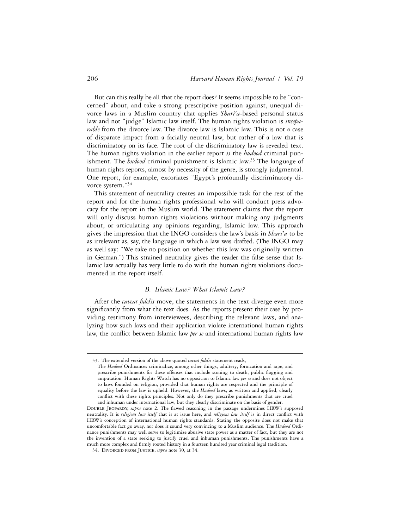But can this really be all that the report does? It seems impossible to be "concerned" about, and take a strong prescriptive position against, unequal divorce laws in a Muslim country that applies *Shari'a*-based personal status law and not "judge" Islamic law itself. The human rights violation is *inseparable* from the divorce law. The divorce law is Islamic law. This is not a case of disparate impact from a facially neutral law, but rather of a law that is discriminatory on its face. The root of the discriminatory law is revealed text. The human rights violation in the earlier report *is* the *hudood* criminal punishment. The *hudood* criminal punishment is Islamic law.33 The language of human rights reports, almost by necessity of the genre, is strongly judgmental. One report, for example, excoriates "Egypt's profoundly discriminatory divorce system."34

This statement of neutrality creates an impossible task for the rest of the report and for the human rights professional who will conduct press advocacy for the report in the Muslim world. The statement claims that the report will only discuss human rights violations without making any judgments about, or articulating any opinions regarding, Islamic law. This approach gives the impression that the INGO considers the law's basis in *Shari'a* to be as irrelevant as, say, the language in which a law was drafted. (The INGO may as well say: "We take no position on whether this law was originally written in German.") This strained neutrality gives the reader the false sense that Islamic law actually has very little to do with the human rights violations documented in the report itself.

## *B. Islamic Law? What Islamic Law?*

After the *caveat fidelis* move, the statements in the text diverge even more significantly from what the text does. As the reports present their case by providing testimony from interviewees, describing the relevant laws, and analyzing how such laws and their application violate international human rights law, the conflict between Islamic law *per se* and international human rights law

<sup>33.</sup> The extended version of the above quoted *caveat fidelis* statement reads,

The *Hudood* Ordinances criminalize, among other things, adultery, fornication and rape, and prescribe punishments for these offenses that include stoning to death, public flogging and amputation. Human Rights Watch has no opposition to Islamic law *per se* and does not object to laws founded on religion, provided that human rights are respected and the principle of equality before the law is upheld. However, the *Hudood* laws, as written and applied, clearly conflict with these rights principles. Not only do they prescribe punishments that are cruel and inhuman under international law, but they clearly discriminate on the basis of gender.

DOUBLE JEOPARDY, *supra* note 2. The flawed reasoning in the passage undermines HRW's supposed neutrality. It is *religious law itself* that is at issue here, and *religious law itself* is in direct conflict with HRW's conception of international human rights standards. Stating the opposite does not make that uncomfortable fact go away, nor does it sound very convincing to a Muslim audience. The *Hudood* Ordinance punishments may well serve to legitimize abusive state power as a matter of fact, but they are not the invention of a state seeking to justify cruel and inhuman punishments. The punishments have a much more complex and firmly rooted history in a fourteen hundred year criminal legal tradition.

<sup>34.</sup> Divorced from Justice, *supra* note 30, at 34.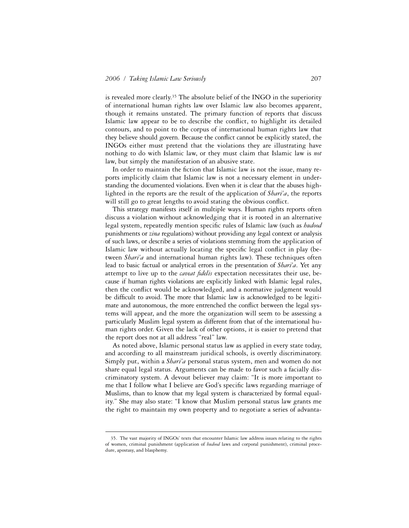is revealed more clearly.35 The absolute belief of the INGO in the superiority of international human rights law over Islamic law also becomes apparent, though it remains unstated. The primary function of reports that discuss Islamic law appear to be to describe the conflict, to highlight its detailed contours, and to point to the corpus of international human rights law that they believe should govern. Because the conflict cannot be explicitly stated, the INGOs either must pretend that the violations they are illustrating have nothing to do with Islamic law, or they must claim that Islamic law is *not* law, but simply the manifestation of an abusive state.

In order to maintain the fiction that Islamic law is not the issue, many reports implicitly claim that Islamic law is not a necessary element in understanding the documented violations. Even when it is clear that the abuses highlighted in the reports are the result of the application of *Shari'a*, the reports will still go to great lengths to avoid stating the obvious conflict.

This strategy manifests itself in multiple ways. Human rights reports often discuss a violation without acknowledging that it is rooted in an alternative legal system, repeatedly mention specific rules of Islamic law (such as *hudood* punishments or *zina* regulations) without providing any legal context or analysis of such laws, or describe a series of violations stemming from the application of Islamic law without actually locating the specific legal conflict in play (between *Shari'a* and international human rights law). These techniques often lead to basic factual or analytical errors in the presentation of *Shari'a*. Yet any attempt to live up to the *caveat fidelis* expectation necessitates their use, because if human rights violations are explicitly linked with Islamic legal rules, then the conflict would be acknowledged, and a normative judgment would be difficult to avoid. The more that Islamic law is acknowledged to be legitimate and autonomous, the more entrenched the conflict between the legal systems will appear, and the more the organization will seem to be assessing a particularly Muslim legal system as different from that of the international human rights order. Given the lack of other options, it is easier to pretend that the report does not at all address "real" law.

As noted above, Islamic personal status law as applied in every state today, and according to all mainstream juridical schools, is overtly discriminatory. Simply put, within a *Shari'a* personal status system, men and women do not share equal legal status. Arguments can be made to favor such a facially discriminatory system. A devout believer may claim: "It is more important to me that I follow what I believe are God's specific laws regarding marriage of Muslims, than to know that my legal system is characterized by formal equality." She may also state: "I know that Muslim personal status law grants me the right to maintain my own property and to negotiate a series of advanta-

<sup>35.</sup> The vast majority of INGOs' texts that encounter Islamic law address issues relating to the rights of women, criminal punishment (application of *hudood* laws and corporal punishment), criminal procedure, apostasy, and blasphemy.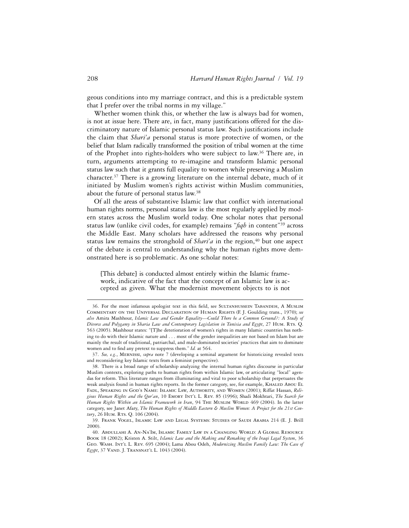geous conditions into my marriage contract, and this is a predictable system that I prefer over the tribal norms in my village."

Whether women think this, or whether the law is always bad for women, is not at issue here. There are, in fact, many justifications offered for the discriminatory nature of Islamic personal status law. Such justifications include the claim that *Shari'a* personal status is more protective of women, or the belief that Islam radically transformed the position of tribal women at the time of the Prophet into rights-holders who were subject to law.<sup>36</sup> There are, in turn, arguments attempting to re-imagine and transform Islamic personal status law such that it grants full equality to women while preserving a Muslim character.37 There is a growing literature on the internal debate, much of it initiated by Muslim women's rights activist within Muslim communities, about the future of personal status law.38

Of all the areas of substantive Islamic law that conflict with international human rights norms, personal status law is the most regularly applied by modern states across the Muslim world today. One scholar notes that personal status law (unlike civil codes, for example) remains "*ªqh* in content"39 across the Middle East. Many scholars have addressed the reasons why personal status law remains the stronghold of *Shari'a* in the region,<sup>40</sup> but one aspect of the debate is central to understanding why the human rights move demonstrated here is so problematic. As one scholar notes:

[This debate] is conducted almost entirely within the Islamic framework, indicative of the fact that the concept of an Islamic law is accepted as given. What the modernist movement objects to is not

<sup>36.</sup> For the most infamous apologist text in this field, see SULTANHUSSEIN TABANDEH, A MUSLIM Commentary on the Universal Declaration of Human Rights (F. J. Goulding trans., 1970); *see also* Amira Mashhour, *Islamic Law and Gender Equality—Could There be a Common Ground?: A Study of Divorce and Polygamy in Sharia Law and Contemporary Legislation in Tunisia and Egypt*, 27 Hum. Rts. Q. 563 (2005). Mashhour states: "[T]he deterioration of women's rights in many Islamic countries has nothing to do with their Islamic nature and . . . most of the gender inequalities are not based on Islam but are mainly the result of traditional, patriarchal, and male-dominated societies' practices that aim to dominate women and to find any pretext to suppress them." *Id.* at 564.

<sup>37.</sup> *See, e.g.*, Mernissi, *supra* note 7 (developing a seminal argument for historicizing revealed texts and reconsidering key Islamic texts from a feminist perspective).

<sup>38.</sup> There is a broad range of scholarship analyzing the internal human rights discourse in particular Muslim contexts, exploring paths to human rights from within Islamic law, or articulating "local" agendas for reform. This literature ranges from illuminating and vital to poor scholarship that perpetuates the weak analysis found in human rights reports. In the former category, see, for example, KHALED ABOU EL Fadl, Speaking in God's Name: Islamic Law, Authority, and Women (2001); Riffat Hassan, *Religious Human Rights and the Qur'an*, 10 Emory Int'l L. Rev. 85 (1996); Shadi Mokhtari, *The Search for Human Rights Within an Islamic Framework in Iran*, 94 THE MUSLIM WORLD 469 (2004). In the latter category, see Janet Afary, *The Human Rights of Middle Eastern & Muslim Women: A Project for the 21st Cen*tury, 26 HUM. RTS. Q. 106 (2004).

<sup>39.</sup> Frank Vogel, Islamic Law and Legal Systems: Studies of Saudi Arabia 214 (E. J. Brill 2000).

<sup>40.</sup> Abdullahi A. An-Na'Im, Islamic Family Law in a Changing World: A Global Resource Book 18 (2002); Kristen A. Stilt, *Islamic Law and the Making and Remaking of the Iraqi Legal System*, 36 Geo. Wash. Int'l L. Rev. 695 (2004); Lama Abou Odeh, *Modernizing Muslim Family Law: The Case of Egypt*, 37 Vand. J. Transnat'l L. 1043 (2004).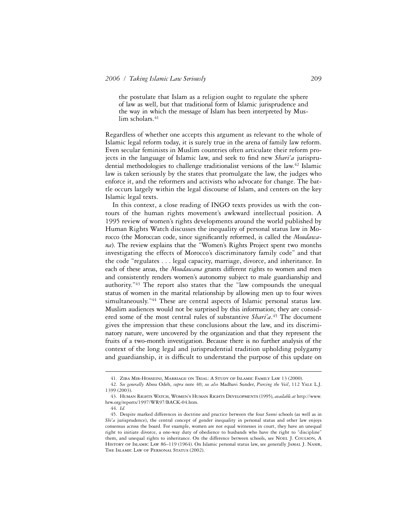the postulate that Islam as a religion ought to regulate the sphere of law as well, but that traditional form of Islamic jurisprudence and the way in which the message of Islam has been interpreted by Muslim scholars.<sup>41</sup>

Regardless of whether one accepts this argument as relevant to the whole of Islamic legal reform today, it is surely true in the arena of family law reform. Even secular feminists in Muslim countries often articulate their reform projects in the language of Islamic law, and seek to find new *Shari'a* jurisprudential methodologies to challenge traditionalist versions of the law.42 Islamic law is taken seriously by the states that promulgate the law, the judges who enforce it, and the reformers and activists who advocate for change. The battle occurs largely within the legal discourse of Islam, and centers on the key Islamic legal texts.

In this context, a close reading of INGO texts provides us with the contours of the human rights movement's awkward intellectual position. A 1995 review of women's rights developments around the world published by Human Rights Watch discusses the inequality of personal status law in Morocco (the Moroccan code, since significantly reformed, is called the *Moudawana*). The review explains that the "Women's Rights Project spent two months investigating the effects of Morocco's discriminatory family code" and that the code "regulates . . . legal capacity, marriage, divorce, and inheritance. In each of these areas, the *Moudawana* grants different rights to women and men and consistently renders women's autonomy subject to male guardianship and authority."43 The report also states that the "law compounds the unequal status of women in the marital relationship by allowing men up to four wives simultaneously."44 These are central aspects of Islamic personal status law. Muslim audiences would not be surprised by this information; they are considered some of the most central rules of substantive *Shari'a*. 45 The document gives the impression that these conclusions about the law, and its discriminatory nature, were uncovered by the organization and that they represent the fruits of a two-month investigation. Because there is no further analysis of the context of the long legal and jurisprudential tradition upholding polygamy and guardianship, it is difficult to understand the purpose of this update on

<sup>41.</sup> Ziba Mir-Hosseini, Marriage on Trial: A Study of Islamic Family Law 13 (2000).

<sup>42.</sup> *See generally* Abou Odeh, *supra* note 40; *see also* Madhavi Sunder, *Piercing the Veil*, 112 Yale L.J. 1399 (2003).

<sup>43.</sup> Human Rights Watch, Women's Human Rights Developments (1995), *available at* http://www. hrw.org/reports/1997/WR97/BACK-04.htm.

<sup>44.</sup> *Id.*

<sup>45.</sup> Despite marked differences in doctrine and practice between the four *Sunni* schools (as well as in *Shi'a* jurisprudence), the central concept of gender inequality in personal status and other law enjoys consensus across the board. For example, women are not equal witnesses in court, they have an unequal right to initiate divorce, a one-way duty of obedience to husbands who have the right to "discipline" them, and unequal rights to inheritance. On the difference between schools, see NOEL J. COULSON, A HISTORY OF ISLAMIC LAW 86-119 (1964). On Islamic personal status law, see generally JAMAL J. NASIR, THE ISLAMIC LAW OF PERSONAL STATUS (2002).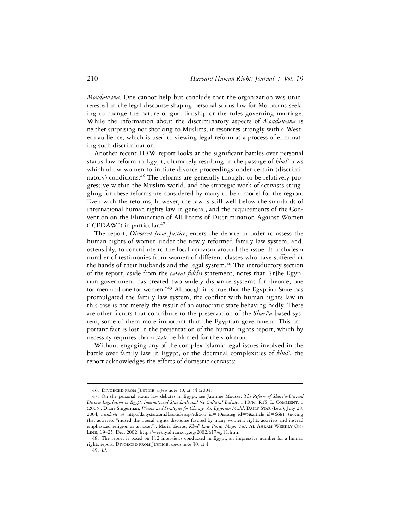*Moudawana*. One cannot help but conclude that the organization was uninterested in the legal discourse shaping personal status law for Moroccans seeking to change the nature of guardianship or the rules governing marriage. While the information about the discriminatory aspects of *Moudawana* is neither surprising nor shocking to Muslims, it resonates strongly with a Western audience, which is used to viewing legal reform as a process of eliminating such discrimination.

Another recent HRW report looks at the significant battles over personal status law reform in Egypt, ultimately resulting in the passage of *khul'* laws which allow women to initiate divorce proceedings under certain (discriminatory) conditions.<sup>46</sup> The reforms are generally thought to be relatively progressive within the Muslim world, and the strategic work of activists struggling for these reforms are considered by many to be a model for the region. Even with the reforms, however, the law is still well below the standards of international human rights law in general, and the requirements of the Convention on the Elimination of All Forms of Discrimination Against Women ("CEDAW") in particular.47

The report, *Divorced from Justice*, enters the debate in order to assess the human rights of women under the newly reformed family law system, and, ostensibly, to contribute to the local activism around the issue. It includes a number of testimonies from women of different classes who have suffered at the hands of their husbands and the legal system.<sup>48</sup> The introductory section of the report, aside from the *caveat fidelis* statement, notes that "[t]he Egyptian government has created two widely disparate systems for divorce, one for men and one for women."<sup>49</sup> Although it is true that the Egyptian State has promulgated the family law system, the conflict with human rights law in this case is not merely the result of an autocratic state behaving badly. There are other factors that contribute to the preservation of the *Shari'a*-based system, some of them more important than the Egyptian government. This important fact is lost in the presentation of the human rights report, which by necessity requires that a *state* be blamed for the violation.

Without engaging any of the complex Islamic legal issues involved in the battle over family law in Egypt, or the doctrinal complexities of *khul',* the report acknowledges the efforts of domestic activists:

<sup>46.</sup> Divorced from Justice, *supra* note 30, at 34 (2004).

<sup>47.</sup> On the personal status law debates in Egypt, see Jasmine Moussa, *The Reform of Shari'a-Derived Divorce Legislation in Egypt: International Standards and the Cultural Debate*, 1 Hum. RTS. L. Comment. 1 (2005); Diane Singerman, *Women and Strategies for Change: An Egyptian Model*, DAILY STAR (Leb.), July 28, 2004, *available at* http://dailystar.com.lb/article.asp?edition\_id=10&categ\_id=5&article\_id=6681 (noting that activists **"**muted the liberal rights discourse favored by many women's rights activists and instead emphasized religion as an asset"); Mariz Tadros, *Khul' Law Passes Major Test*, Al Ahram Weekly On-Line, 19–25, Dec. 2002, http://weekly.ahram.org.eg/2002/617/eg11.htm.

<sup>48.</sup> The report is based on 112 interviews conducted in Egypt, an impressive number for a human rights report. DIVORCED FROM JUSTICE, *supra* note 30, at 4.

<sup>49.</sup> *Id*.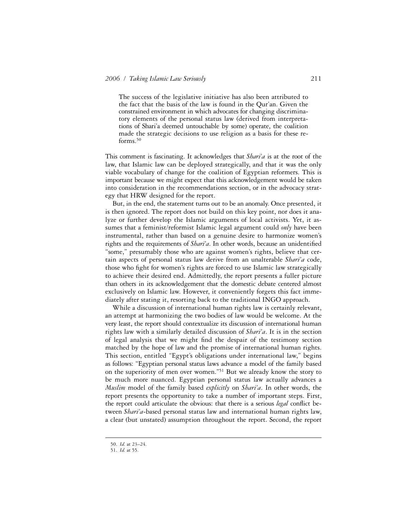The success of the legislative initiative has also been attributed to the fact that the basis of the law is found in the Qur'an. Given the constrained environment in which advocates for changing discriminatory elements of the personal status law (derived from interpretations of Shari'a deemed untouchable by some) operate, the coalition made the strategic decisions to use religion as a basis for these reforms.50

This comment is fascinating. It acknowledges that *Shari'a* is at the root of the law, that Islamic law can be deployed strategically, and that it was the only viable vocabulary of change for the coalition of Egyptian reformers. This is important because we might expect that this acknowledgement would be taken into consideration in the recommendations section, or in the advocacy strategy that HRW designed for the report.

But, in the end, the statement turns out to be an anomaly. Once presented, it is then ignored. The report does not build on this key point, nor does it analyze or further develop the Islamic arguments of local activists. Yet, it assumes that a feminist/reformist Islamic legal argument could *only* have been instrumental, rather than based on a genuine desire to harmonize women's rights and the requirements of *Shari'a*. In other words, because an unidentified "some," presumably those who are against women's rights, believe that certain aspects of personal status law derive from an unalterable *Shari'a* code, those who fight for women's rights are forced to use Islamic law strategically to achieve their desired end. Admittedly, the report presents a fuller picture than others in its acknowledgement that the domestic debate centered almost exclusively on Islamic law. However, it conveniently forgets this fact immediately after stating it, resorting back to the traditional INGO approach.

While a discussion of international human rights law is certainly relevant, an attempt at harmonizing the two bodies of law would be welcome. At the very least, the report should contextualize its discussion of international human rights law with a similarly detailed discussion of *Shari'a*. It is in the section of legal analysis that we might find the despair of the testimony section matched by the hope of law and the promise of international human rights. This section, entitled "Egypt's obligations under international law," begins as follows: "Egyptian personal status laws advance a model of the family based on the superiority of men over women."51 But we already know the story to be much more nuanced. Egyptian personal status law actually advances a *Muslim* model of the family based *explicitly* on *Shari'a*. In other words, the report presents the opportunity to take a number of important steps. First, the report could articulate the obvious: that there is a serious *legal* conflict between *Shari'a*-based personal status law and international human rights law, a clear (but unstated) assumption throughout the report. Second, the report

<sup>50.</sup> *Id.* at 23–24.

<sup>51.</sup> *Id.* at 55.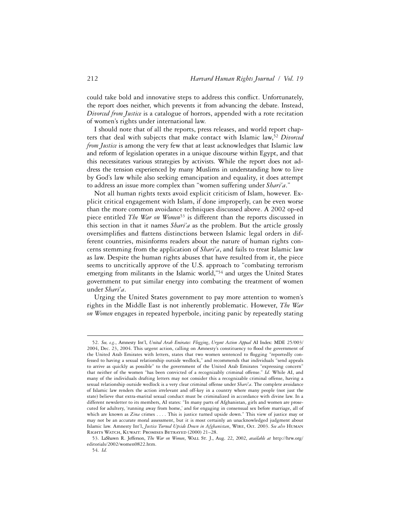could take bold and innovative steps to address this conflict. Unfortunately, the report does neither, which prevents it from advancing the debate. Instead, *Divorced from Justice* is a catalogue of horrors, appended with a rote recitation of women's rights under international law.

I should note that of all the reports, press releases, and world report chapters that deal with subjects that make contact with Islamic law,52 *Divorced from Justice* is among the very few that at least acknowledges that Islamic law and reform of legislation operates in a unique discourse within Egypt, and that this necessitates various strategies by activists. While the report does not address the tension experienced by many Muslims in understanding how to live by God's law while also seeking emancipation and equality, it does attempt to address an issue more complex than "women suffering under *Shari'a*."

Not all human rights texts avoid explicit criticism of Islam, however. Explicit critical engagement with Islam, if done improperly, can be even worse than the more common avoidance techniques discussed above. A 2002 op-ed piece entitled *The War on Women*53 is different than the reports discussed in this section in that it names *Shari'a* as the problem. But the article grossly oversimplifies and flattens distinctions between Islamic legal orders in different countries, misinforms readers about the nature of human rights concerns stemming from the application of *Shari'a*, and fails to treat Islamic law as law. Despite the human rights abuses that have resulted from it, the piece seems to uncritically approve of the U.S. approach to "combating terrorism emerging from militants in the Islamic world,"<sup>54</sup> and urges the United States government to put similar energy into combating the treatment of women under *Shari'a*.

Urging the United States government to pay more attention to women's rights in the Middle East is not inherently problematic. However, *The War on Women* engages in repeated hyperbole, inciting panic by repeatedly stating

<sup>52.</sup> *See, e.g.*, Amnesty Int'l, *United Arab Emirates: Flogging*, *Urgent Action Appeal* AI Index: MDE 25/003/ 2004, Dec. 23, 2004. This urgent action, calling on Amnesty's constituency to flood the government of the United Arab Emirates with letters, states that two women sentenced to flogging "reportedly confessed to having a sexual relationship outside wedlock," and recommends that individuals "send appeals to arrive as quickly as possible" to the government of the United Arab Emirates "expressing concern" that neither of the women "has been convicted of a recognizably criminal offense." *Id.* While AI, and many of the individuals drafting letters may not consider this a recognizable criminal offense, having a sexual relationship outside wedlock is a very clear criminal offense under *Shari'a*. The complete avoidance of Islamic law renders the action irrelevant and off-key in a country where many people (not just the state) believe that extra-marital sexual conduct must be criminalized in accordance with divine law. In a different newsletter to its members, AI states: "In many parts of Afghanistan, girls and women are prosecuted for adultery, 'running away from home,' and for engaging in consensual sex before marriage, all of which are known as *Zina* crimes . . . . This is justice turned upside down." This view of justice may or may not be an accurate moral assessment, but it is most certainly an unacknowledged judgment about Islamic law. Amnesty Int'l, *Justice Turned Upside Down in Afghanistan*, Wire, Oct. 2003. *See also* Human Rights Watch, Kuwait: Promises Betrayed (2000) 21–28.

<sup>53.</sup> LaShawn R. Jefferson, *The War on Women*, Wall St. J., Aug. 22, 2002, *available at* http://hrw.org/ editorials/2002/women0822.htm.

<sup>54.</sup> *Id.*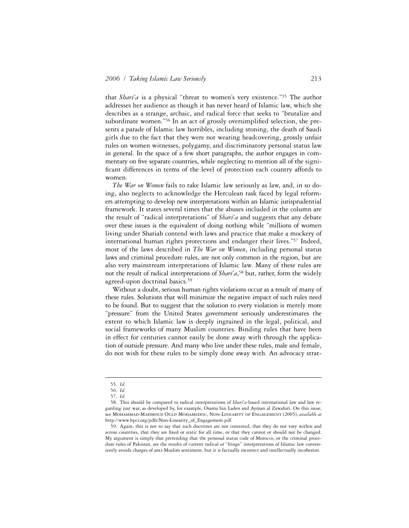that *Shari'a* is a physical "threat to women's very existence."55 The author addresses her audience as though it has never heard of Islamic law, which she describes as a strange, archaic, and radical force that seeks to "brutalize and subordinate women."<sup>56</sup> In an act of grossly oversimplified selection, she presents a parade of Islamic law horribles, including stoning, the death of Saudi girls due to the fact that they were not wearing headcovering, grossly unfair rules on women witnesses, polygamy, and discriminatory personal status law in general. In the space of a few short paragraphs, the author engages in commentary on five separate countries, while neglecting to mention all of the significant differences in terms of the level of protection each country affords to women.

*The War on Women* fails to take Islamic law seriously as law, and, in so doing, also neglects to acknowledge the Herculean task faced by legal reformers attempting to develop new interpretations within an Islamic jurisprudential framework. It states several times that the abuses included in the column are the result of "radical interpretations" of *Shari'a* and suggests that any debate over these issues is the equivalent of doing nothing while "millions of women living under Shariah contend with laws and practice that make a mockery of international human rights protections and endanger their lives."57 Indeed, most of the laws described in *The War on Women*, including personal status laws and criminal procedure rules, are not only common in the region, but are also very mainstream interpretations of Islamic law. Many of these rules are not the result of radical interpretations of *Shari'a*, 58 but, rather, form the widely agreed-upon doctrinal basics.<sup>59</sup>

Without a doubt, serious human rights violations occur as a result of many of these rules. Solutions that will minimize the negative impact of such rules need to be found. But to suggest that the solution to every violation is merely more "pressure" from the United States government seriously underestimates the extent to which Islamic law is deeply ingrained in the legal, political, and social frameworks of many Muslim countries. Binding rules that have been in effect for centuries cannot easily be done away with through the application of outside pressure. And many who live under these rules, male and female, do not wish for these rules to be simply done away with. An advocacy strat-

<sup>55</sup>*. Id*.

<sup>56.</sup> *Id.*

<sup>57.</sup> *Id.*

<sup>58.</sup> This should be compared to radical interpretations of *Shari'a*-based international law and law regarding just war, as developed by, for example, Osama bin Laden and Ayman al Zawahiri. On this issue, see Mohammad-Mahmoud Ould Mohamedou, Non-Linearity of Engagement (2005), *available at*  http://www.hpcr.org/pdfs/Non-Linearity\_of\_Engagement.pdf.

<sup>59.</sup> Again, this is not to say that such doctrines are not contested, that they do not vary within and across countries, that they are fixed or static for all time, or that they cannot or should not be changed. My argument is simply that pretending that the personal status code of Morocco, or the criminal procedure rules of Pakistan, are the results of current radical or "fringe" interpretations of Islamic law conveniently avoids charges of anti-Muslim sentiment, but it is factually incorrect and intellectually incoherent.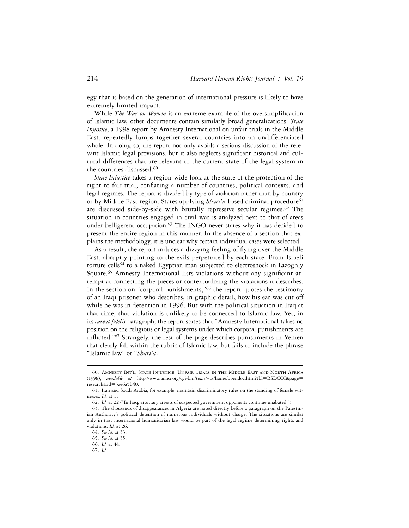egy that is based on the generation of international pressure is likely to have extremely limited impact.

While *The War on Women* is an extreme example of the oversimplification of Islamic law, other documents contain similarly broad generalizations. *State Injustice*, a 1998 report by Amnesty International on unfair trials in the Middle East, repeatedly lumps together several countries into an undifferentiated whole. In doing so, the report not only avoids a serious discussion of the relevant Islamic legal provisions, but it also neglects significant historical and cultural differences that are relevant to the current state of the legal system in the countries discussed.<sup>60</sup>

*State Injustice* takes a region-wide look at the state of the protection of the right to fair trial, conflating a number of countries, political contexts, and legal regimes. The report is divided by type of violation rather than by country or by Middle East region. States applying *Shari'a*-based criminal procedure<sup>61</sup> are discussed side-by-side with brutally repressive secular regimes.<sup>62</sup> The situation in countries engaged in civil war is analyzed next to that of areas under belligerent occupation.<sup>63</sup> The INGO never states why it has decided to present the entire region in this manner. In the absence of a section that explains the methodology, it is unclear why certain individual cases were selected.

As a result, the report induces a dizzying feeling of flying over the Middle East, abruptly pointing to the evils perpetrated by each state. From Israeli torture cells<sup>64</sup> to a naked Egyptian man subjected to electroshock in Lazoghly Square,<sup>65</sup> Amnesty International lists violations without any significant attempt at connecting the pieces or contextualizing the violations it describes. In the section on "corporal punishments,"<sup>66</sup> the report quotes the testimony of an Iraqi prisoner who describes, in graphic detail, how his ear was cut off while he was in detention in 1996. But with the political situation in Iraq at that time, that violation is unlikely to be connected to Islamic law. Yet, in its *caveat fidelis* paragraph, the report states that "Amnesty International takes no position on the religious or legal systems under which corporal punishments are inflicted."<sup>67</sup> Strangely, the rest of the page describes punishments in Yemen that clearly fall within the rubric of Islamic law, but fails to include the phrase "Islamic law" or "*Shari'a*."

<sup>60.</sup> Amnesty Int'l, State Injustice: Unfair Trials in the Middle East and North Africa (1998), *available at* http://www.unhcr.org/cgi-bin/texis/vtx/home/opendoc.htm?tbl=RSDCOI&page= research&id=3ae6a5b40.

<sup>61.</sup> Iran and Saudi Arabia, for example, maintain discriminatory rules on the standing of female witnesses. *Id.* at 17.

<sup>62.</sup> *Id.* at 22 ("In Iraq, arbitrary arrests of suspected government opponents continue unabated.").

<sup>63.</sup> The thousands of disappearances in Algeria are noted directly before a paragraph on the Palestinian Authority's political detention of numerous individuals without charge. The situations are similar only in that international humanitarian law would be part of the legal regime determining rights and violations. *Id.* at 26.

<sup>64.</sup> *See id.* at 33.

<sup>65.</sup> *See id.* at 35.

<sup>66.</sup> *Id.* at 44.

<sup>67.</sup> *Id.*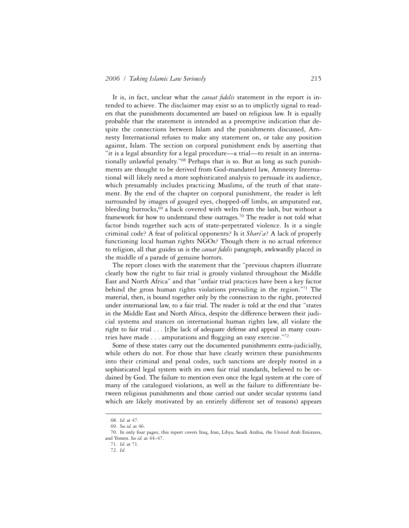It is, in fact, unclear what the *caveat fidelis* statement in the report is intended to achieve. The disclaimer may exist so as to implictly signal to readers that the punishments documented are based on religious law. It is equally probable that the statement is intended as a preemptive indication that despite the connections between Islam and the punishments discussed, Amnesty International refuses to make any statement on, or take any position against, Islam. The section on corporal punishment ends by asserting that "it is a legal absurdity for a legal procedure—a trial—to result in an internationally unlawful penalty."68 Perhaps that is so. But as long as such punishments are thought to be derived from God-mandated law, Amnesty International will likely need a more sophisticated analysis to persuade its audience, which presumably includes practicing Muslims, of the truth of that statement. By the end of the chapter on corporal punishment, the reader is left surrounded by images of gouged eyes, chopped-off limbs, an amputated ear, bleeding buttocks, $69$  a back covered with welts from the lash, but without a framework for how to understand these outrages.<sup>70</sup> The reader is not told what factor binds together such acts of state-perpetrated violence. Is it a single criminal code? A fear of political opponents? Is it *Shari'a*? A lack of properly functioning local human rights NGOs? Though there is no actual reference to religion, all that guides us is the *caveat fidelis* paragraph, awkwardly placed in the middle of a parade of genuine horrors.

The report closes with the statement that the "previous chapters illustrate clearly how the right to fair trial is grossly violated throughout the Middle East and North Africa" and that "unfair trial practices have been a key factor behind the gross human rights violations prevailing in the region."71 The material, then, is bound together only by the connection to the right, protected under international law, to a fair trial. The reader is told at the end that "states in the Middle East and North Africa, despite the difference between their judicial systems and stances on international human rights law, all violate the right to fair trial . . . [t]he lack of adequate defense and appeal in many countries have made  $\dots$  amputations and flogging an easy exercise."<sup>72</sup>

Some of these states carry out the documented punishments extra-judicially, while others do not. For those that have clearly written these punishments into their criminal and penal codes, such sanctions are deeply rooted in a sophisticated legal system with its own fair trial standards, believed to be ordained by God. The failure to mention even once the legal system at the core of many of the catalogued violations, as well as the failure to differentiate between religious punishments and those carried out under secular systems (and which are likely motivated by an entirely different set of reasons) appears

<sup>68.</sup> *Id.* at 47.

<sup>69.</sup> *See id.* at 46.

<sup>70.</sup> In only four pages, this report covers Iraq, Iran, Libya, Saudi Arabia, the United Arab Emirates, and Yemen. *See id.* at 44–47.

<sup>71.</sup> *Id.* at 71.

<sup>72.</sup> *Id*.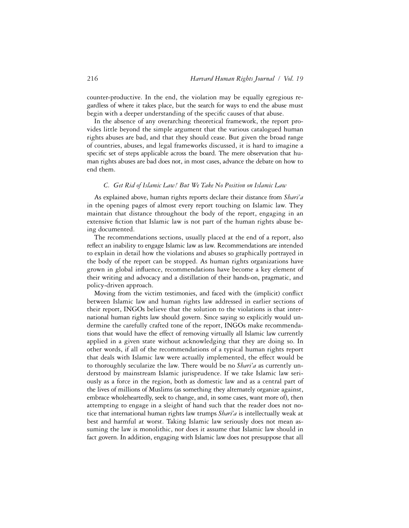counter-productive. In the end, the violation may be equally egregious regardless of where it takes place, but the search for ways to end the abuse must begin with a deeper understanding of the specific causes of that abuse.

In the absence of any overarching theoretical framework, the report provides little beyond the simple argument that the various catalogued human rights abuses are bad, and that they should cease. But given the broad range of countries, abuses, and legal frameworks discussed, it is hard to imagine a specific set of steps applicable across the board. The mere observation that human rights abuses are bad does not, in most cases, advance the debate on how to end them.

#### *C. Get Rid of Islamic Law! But We Take No Position on Islamic Law*

As explained above, human rights reports declare their distance from *Shari'a* in the opening pages of almost every report touching on Islamic law. They maintain that distance throughout the body of the report, engaging in an extensive fiction that Islamic law is not part of the human rights abuse being documented.

The recommendations sections, usually placed at the end of a report, also reflect an inability to engage Islamic law as law. Recommendations are intended to explain in detail how the violations and abuses so graphically portrayed in the body of the report can be stopped. As human rights organizations have grown in global influence, recommendations have become a key element of their writing and advocacy and a distillation of their hands-on, pragmatic, and policy-driven approach.

Moving from the victim testimonies, and faced with the (implicit) conflict between Islamic law and human rights law addressed in earlier sections of their report, INGOs believe that the solution to the violations is that international human rights law should govern. Since saying so explicitly would undermine the carefully crafted tone of the report, INGOs make recommendations that would have the effect of removing virtually all Islamic law currently applied in a given state without acknowledging that they are doing so. In other words, if all of the recommendations of a typical human rights report that deals with Islamic law were actually implemented, the effect would be to thoroughly secularize the law. There would be no *Shari'a* as currently understood by mainstream Islamic jurisprudence. If we take Islamic law seriously as a force in the region, both as domestic law and as a central part of the lives of millions of Muslims (as something they alternately organize against, embrace wholeheartedly, seek to change, and, in some cases, want more of), then attempting to engage in a sleight of hand such that the reader does not notice that international human rights law trumps *Shari'a* is intellectually weak at best and harmful at worst. Taking Islamic law seriously does not mean assuming the law is monolithic, nor does it assume that Islamic law should in fact govern. In addition, engaging with Islamic law does not presuppose that all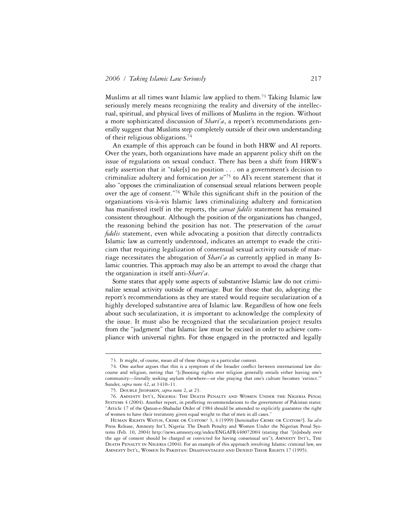Muslims at all times want Islamic law applied to them.73 Taking Islamic law seriously merely means recognizing the reality and diversity of the intellectual, spiritual, and physical lives of millions of Muslims in the region. Without a more sophisticated discussion of *Shari'a*, a report's recommendations generally suggest that Muslims step completely outside of their own understanding of their religious obligations.74

An example of this approach can be found in both HRW and AI reports. Over the years, both organizations have made an apparent policy shift on the issue of regulations on sexual conduct. There has been a shift from HRW's early assertion that it "take[s] no position . . . on a government's decision to criminalize adultery and fornication *per se*"75 to AI's recent statement that it also "opposes the criminalization of consensual sexual relations between people over the age of consent."<sup>76</sup> While this significant shift in the position of the organizations vis-à-vis Islamic laws criminalizing adultery and fornication has manifested itself in the reports, the *caveat fidelis* statement has remained consistent throughout. Although the position of the organizations has changed, the reasoning behind the position has not. The preservation of the *caveat*  fidelis statement, even while advocating a position that directly contradicts Islamic law as currently understood, indicates an attempt to evade the criticism that requiring legalization of consensual sexual activity outside of marriage necessitates the abrogation of *Shari'a* as currently applied in many Islamic countries. This approach may also be an attempt to avoid the charge that the organization is itself anti-*Shari'a*.

Some states that apply some aspects of substantive Islamic law do not criminalize sexual activity outside of marriage. But for those that do, adopting the report's recommendations as they are stated would require secularization of a highly developed substantive area of Islamic law. Regardless of how one feels about such secularization, it is important to acknowledge the complexity of the issue. It must also be recognized that the secularization project results from the "judgment" that Islamic law must be excised in order to achieve compliance with universal rights. For those engaged in the protracted and legally

<sup>73.</sup> It might, of course, mean all of those things in a particular context.

<sup>74.</sup> One author argues that this is a symptom of the broader conflict between international law discourse and religion, noting that "[c]hoosing rights over religion generally entails either leaving one's community—literally seeking asylum elsewhere—or else praying that one's culture becomes 'extinct.'" Sunder, *supra* note 42, at 1410–11.

<sup>75.</sup> Double Jeopardy, *supra* note 2, at 23.

<sup>76.</sup> Amnesty Int'l, Nigeria: The Death Penalty and Women Under the Nigeria Penal Systems 4 (2004). Another report, in proffering recommendations to the government of Pakistan states: "Article 17 of the Qanun-e-Shahadat Order of 1984 should be amended to explicitly guarantee the right of women to have their testimony given equal weight to that of men in all cases."

Human Rights Watch, Crime or Custom? 3, 4 (1999) [hereinafter Crime or Custom?]. *See also* Press Release, Amnesty Int'l, Nigeria: The Death Penalty and Women Under the Nigerian Penal Systems (Feb. 10, 2004) http://news.amnesty.org/index/ENGAFR440072004 (stating that "[n]obody over the age of consent should be charged or convicted for having consensual sex"); Amnesty Int'l, The Death Penalty in Nigeria (2004). For an example of this approach involving Islamic criminal law, see Amnesty Int'l, Women In Pakistan: Disadvantaged and Denied Their Rights 17 (1995).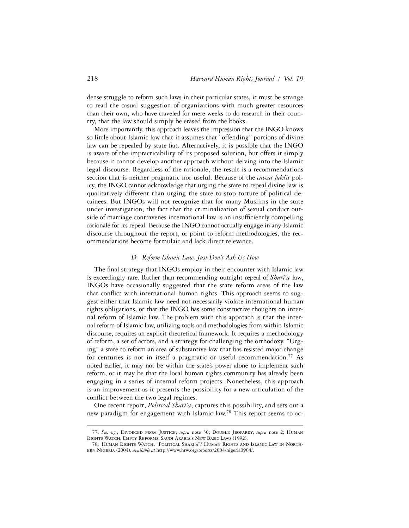dense struggle to reform such laws in their particular states, it must be strange to read the casual suggestion of organizations with much greater resources than their own, who have traveled for mere weeks to do research in their country, that the law should simply be erased from the books.

More importantly, this approach leaves the impression that the INGO knows so little about Islamic law that it assumes that "offending" portions of divine law can be repealed by state fiat. Alternatively, it is possible that the INGO is aware of the impracticability of its proposed solution, but offers it simply because it cannot develop another approach without delving into the Islamic legal discourse. Regardless of the rationale, the result is a recommendations section that is neither pragmatic nor useful. Because of the *caveat fidelis* policy, the INGO cannot acknowledge that urging the state to repeal divine law is qualitatively different than urging the state to stop torture of political detainees. But INGOs will not recognize that for many Muslims in the state under investigation, the fact that the criminalization of sexual conduct outside of marriage contravenes international law is an insufficiently compelling rationale for its repeal. Because the INGO cannot actually engage in any Islamic discourse throughout the report, or point to reform methodologies, the recommendations become formulaic and lack direct relevance.

## *D. Reform Islamic Law, Just Don't Ask Us How*

The final strategy that INGOs employ in their encounter with Islamic law is exceedingly rare. Rather than recommending outright repeal of *Shari'a* law, INGOs have occasionally suggested that the state reform areas of the law that conflict with international human rights. This approach seems to suggest either that Islamic law need not necessarily violate international human rights obligations, or that the INGO has some constructive thoughts on internal reform of Islamic law. The problem with this approach is that the internal reform of Islamic law, utilizing tools and methodologies from within Islamic discourse, requires an explicit theoretical framework. It requires a methodology of reform, a set of actors, and a strategy for challenging the orthodoxy. "Urging" a state to reform an area of substantive law that has resisted major change for centuries is not in itself a pragmatic or useful recommendation.<sup>77</sup> As noted earlier, it may not be within the state's power alone to implement such reform, or it may be that the local human rights community has already been engaging in a series of internal reform projects. Nonetheless, this approach is an improvement as it presents the possibility for a new articulation of the conflict between the two legal regimes.

One recent report, *Political Shari'a*, captures this possibility, and sets out a new paradigm for engagement with Islamic law.78 This report seems to ac-

<sup>77.</sup> *See, e.g.*, Divorced from Justice, *supra* note 30; Double Jeopardy, *supra* note 2; Human Rights Watch, Empty Reforms: Saudi Arabia's New Basic Laws (1992).

<sup>78.</sup> Human Rights Watch, "Political Shari'a"? Human Rights and Islamic Law in Northern Nigeria (2004), *available at* http://www.hrw.org/reports/2004/nigeria0904/.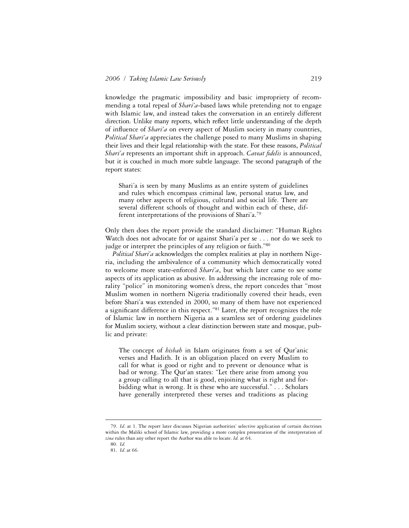knowledge the pragmatic impossibility and basic impropriety of recommending a total repeal of *Shari'a*-based laws while pretending not to engage with Islamic law, and instead takes the conversation in an entirely different direction. Unlike many reports, which reflect little understanding of the depth of influence of *Shari'a* on every aspect of Muslim society in many countries, *Political Shari'a* appreciates the challenge posed to many Muslims in shaping their lives and their legal relationship with the state. For these reasons, *Political Shari'a* represents an important shift in approach. *Caveat fidelis* is announced, but it is couched in much more subtle language. The second paragraph of the report states:

Shari'a is seen by many Muslims as an entire system of guidelines and rules which encompass criminal law, personal status law, and many other aspects of religious, cultural and social life. There are several different schools of thought and within each of these, different interpretations of the provisions of Shari'a.79

Only then does the report provide the standard disclaimer: "Human Rights Watch does not advocate for or against Shari'a per se . . . nor do we seek to judge or interpret the principles of any religion or faith."80

*Political Shari'a* acknowledges the complex realities at play in northern Nigeria, including the ambivalence of a community which democratically voted to welcome more state-enforced *Shari'a*, but which later came to see some aspects of its application as abusive. In addressing the increasing role of morality "police" in monitoring women's dress, the report concedes that "most Muslim women in northern Nigeria traditionally covered their heads, even before Shari'a was extended in 2000, so many of them have not experienced a significant difference in this respect."81 Later, the report recognizes the role of Islamic law in northern Nigeria as a seamless set of ordering guidelines for Muslim society, without a clear distinction between state and mosque, public and private:

The concept of *hisbah* in Islam originates from a set of Qur'anic verses and Hadith. It is an obligation placed on every Muslim to call for what is good or right and to prevent or denounce what is bad or wrong. The Qur'an states: "Let there arise from among you a group calling to all that is good, enjoining what is right and forbidding what is wrong. It is these who are successful." . . . Scholars have generally interpreted these verses and traditions as placing

<sup>79.</sup> *Id*. at 1. The report later discusses Nigerian authorities' selective application of certain doctrines within the Maliki school of Islamic law, providing a more complex presentation of the interpretation of *zina* rules than any other report the Author was able to locate. *Id.* at 64.

<sup>80.</sup> *Id.*

<sup>81.</sup> *Id*. at 66.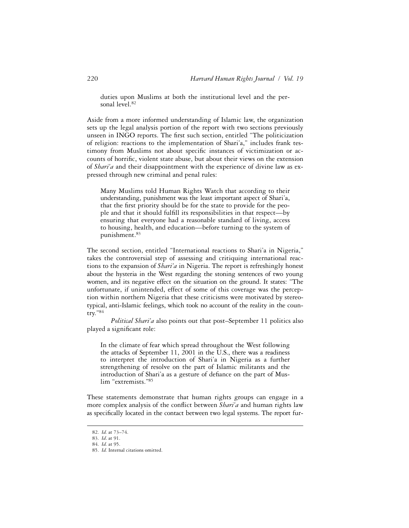duties upon Muslims at both the institutional level and the personal level.82

Aside from a more informed understanding of Islamic law, the organization sets up the legal analysis portion of the report with two sections previously unseen in INGO reports. The first such section, entitled "The politicization of religion: reactions to the implementation of Shari'a," includes frank testimony from Muslims not about specific instances of victimization or accounts of horrific, violent state abuse, but about their views on the extension of *Shari'a* and their disappointment with the experience of divine law as expressed through new criminal and penal rules:

Many Muslims told Human Rights Watch that according to their understanding, punishment was the least important aspect of Shari'a, that the first priority should be for the state to provide for the people and that it should fulfill its responsibilities in that respect—by ensuring that everyone had a reasonable standard of living, access to housing, health, and education—before turning to the system of punishment.83

The second section, entitled "International reactions to Shari'a in Nigeria," takes the controversial step of assessing and critiquing international reactions to the expansion of *Shari'a* in Nigeria. The report is refreshingly honest about the hysteria in the West regarding the stoning sentences of two young women, and its negative effect on the situation on the ground. It states: "The unfortunate, if unintended, effect of some of this coverage was the perception within northern Nigeria that these criticisms were motivated by stereotypical, anti-Islamic feelings, which took no account of the reality in the country."84

*Political Shari'a* also points out that post–September 11 politics also played a significant role:

In the climate of fear which spread throughout the West following the attacks of September 11, 2001 in the U.S., there was a readiness to interpret the introduction of Shari'a in Nigeria as a further strengthening of resolve on the part of Islamic militants and the introduction of Shari'a as a gesture of defiance on the part of Muslim "extremists."85

These statements demonstrate that human rights groups can engage in a more complex analysis of the conflict between *Shari'a* and human rights law as specifically located in the contact between two legal systems. The report fur-

<sup>82.</sup> *Id.* at 73–74.

<sup>83.</sup> *Id*. at 91.

<sup>84.</sup> *Id.* at 95.

<sup>85.</sup> *Id.* Internal citations omitted.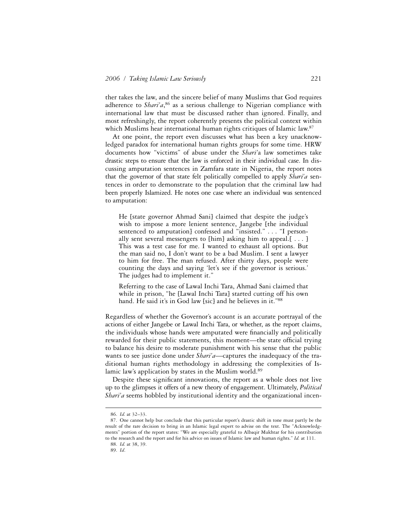ther takes the law, and the sincere belief of many Muslims that God requires adherence to *Shari'a*, 86 as a serious challenge to Nigerian compliance with international law that must be discussed rather than ignored. Finally, and most refreshingly, the report coherently presents the political context within which Muslims hear international human rights critiques of Islamic law.<sup>87</sup>

At one point, the report even discusses what has been a key unacknowledged paradox for international human rights groups for some time. HRW documents how "victims" of abuse under the *Shari'*a law sometimes take drastic steps to ensure that the law is enforced in their individual case. In discussing amputation sentences in Zamfara state in Nigeria, the report notes that the governor of that state felt politically compelled to apply *Shari'a* sentences in order to demonstrate to the population that the criminal law had been properly Islamized. He notes one case where an individual was sentenced to amputation:

He [state governor Ahmad Sani] claimed that despite the judge's wish to impose a more lenient sentence, Jangebe [the individual sentenced to amputation] confessed and "insisted." . . . "I personally sent several messengers to [him] asking him to appeal.[ $\ldots$ ] This was a test case for me. I wanted to exhaust all options. But the man said no, I don't want to be a bad Muslim. I sent a lawyer to him for free. The man refused. After thirty days, people were counting the days and saying 'let's see if the governor is serious.' The judges had to implement it."

Referring to the case of Lawal Inchi Tara, Ahmad Sani claimed that while in prison, "he [Lawal Inchi Tara] started cutting off his own hand. He said it's in God law [sic] and he believes in it."88

Regardless of whether the Governor's account is an accurate portrayal of the actions of either Jangebe or Lawal Inchi Tara, or whether, as the report claims, the individuals whose hands were amputated were financially and politically rewarded for their public statements, this moment—the state official trying to balance his desire to moderate punishment with his sense that the public wants to see justice done under *Shari'a*—captures the inadequacy of the traditional human rights methodology in addressing the complexities of Islamic law's application by states in the Muslim world.<sup>89</sup>

Despite these significant innovations, the report as a whole does not live up to the glimpses it offers of a new theory of engagement. Ultimately, *Political Shari'a* seems hobbled by institutional identity and the organizational incen-

<sup>86.</sup> *Id.* at 32–33.

<sup>87.</sup> One cannot help but conclude that this particular report's drastic shift in tone must partly be the result of the rare decision to bring in an Islamic legal expert to advise on the text. The "Acknowledgments" portion of the report states: "We are especially grateful to Albaqir Mukhtar for his contribution to the research and the report and for his advice on issues of Islamic law and human rights." *Id.* at 111.

<sup>88.</sup> *Id.* at 38, 39.

<sup>89.</sup> *Id*.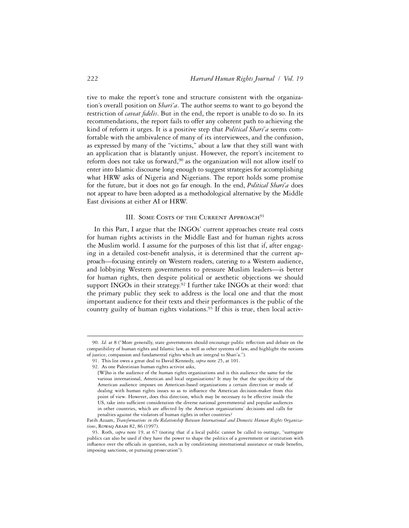tive to make the report's tone and structure consistent with the organization's overall position on *Shari'a*. The author seems to want to go beyond the restriction of *caveat fidelis*. But in the end, the report is unable to do so. In its recommendations, the report fails to offer any coherent path to achieving the kind of reform it urges. It is a positive step that *Political Shari'a* seems comfortable with the ambivalence of many of its interviewees, and the confusion, as expressed by many of the "victims," about a law that they still want with an application that is blatantly unjust. However, the report's incitement to reform does not take us forward,<sup>90</sup> as the organization will not allow itself to enter into Islamic discourse long enough to suggest strategies for accomplishing what HRW asks of Nigeria and Nigerians. The report holds some promise for the future, but it does not go far enough. In the end, *Political Shari'a* does not appear to have been adopted as a methodological alternative by the Middle East divisions at either AI or HRW.

#### III. SOME COSTS OF THE CURRENT APPROACH<sup>91</sup>

In this Part, I argue that the INGOs' current approaches create real costs for human rights activists in the Middle East and for human rights across the Muslim world. I assume for the purposes of this list that if, after engaging in a detailed cost-benefit analysis, it is determined that the current approach—focusing entirely on Western readers, catering to a Western audience, and lobbying Western governments to pressure Muslim leaders—is better for human rights, then despite political or aesthetic objections we should support INGOs in their strategy.<sup>92</sup> I further take INGOs at their word: that the primary public they seek to address is the local one and that the most important audience for their texts and their performances is the public of the country guilty of human rights violations.<sup>93</sup> If this is true, then local activ-

<sup>90.</sup> *Id.* at 8 ("More generally, state governments should encourage public reflection and debate on the compatibility of human rights and Islamic law, as well as other systems of law, and highlight the notions of justice, compassion and fundamental rights which are integral to Shari'a.").

<sup>91.</sup> This list owes a great deal to David Kennedy, *supra* note 25, at 101.

<sup>92.</sup> As one Palestinian human rights activist asks,

<sup>[</sup>W]ho is the audience of the human rights organizations and is this audience the same for the various international, American and local organizations? It may be that the specificity of the American audience imposes on American-based organizations a certain direction or mode of dealing with human rights issues so as to influence the American decision-maker from this point of view. However, does this direction, which may be necessary to be effective inside the US, take into sufficient consideration the diverse national governmental and popular audiences in other countries, which are affected by the American organizations' decisions and calls for penalties against the violators of human rights in other countries?

Fatih Azzam, *Transformations in the Relationship Between International and Domestic Human Rights Organizations*, Rowaq Arabi 82, 86 (1997).

<sup>93.</sup> Roth, *supra* note 19, at 67 (noting that if a local public cannot be called to outrage, "surrogate publics can also be used if they have the power to shape the politics of a government or institution with influence over the officials in question, such as by conditioning international assistance or trade benefits, imposing sanctions, or pursuing prosecution").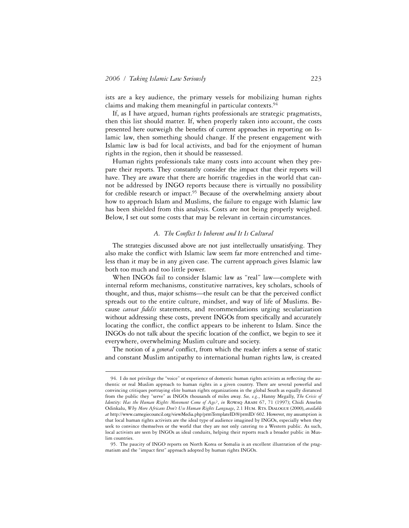1

ists are a key audience, the primary vessels for mobilizing human rights claims and making them meaningful in particular contexts.94

If, as I have argued, human rights professionals are strategic pragmatists, then this list should matter. If, when properly taken into account, the costs presented here outweigh the benefits of current approaches in reporting on Islamic law, then something should change. If the present engagement with Islamic law is bad for local activists, and bad for the enjoyment of human rights in the region, then it should be reassessed.

Human rights professionals take many costs into account when they prepare their reports. They constantly consider the impact that their reports will have. They are aware that there are horrific tragedies in the world that cannot be addressed by INGO reports because there is virtually no possibility for credible research or impact.<sup>95</sup> Because of the overwhelming anxiety about how to approach Islam and Muslims, the failure to engage with Islamic law has been shielded from this analysis. Costs are not being properly weighed. Below, I set out some costs that may be relevant in certain circumstances.

#### A. The Conflict Is Inherent and It Is Cultural

The strategies discussed above are not just intellectually unsatisfying. They also make the conflict with Islamic law seem far more entrenched and timeless than it may be in any given case. The current approach gives Islamic law both too much and too little power.

When INGOs fail to consider Islamic law as "real" law—complete with internal reform mechanisms, constitutive narratives, key scholars, schools of thought, and thus, major schisms—the result can be that the perceived conflict spreads out to the entire culture, mindset, and way of life of Muslims. Because *caveat fidelis* statements, and recommendations urging secularization without addressing these costs, prevent INGOs from specifically and accurately locating the conflict, the conflict appears to be inherent to Islam. Since the INGOs do not talk about the specific location of the conflict, we begin to see it everywhere, overwhelming Muslim culture and society.

The notion of a *general* conflict, from which the reader infers a sense of static and constant Muslim antipathy to international human rights law, is created

<sup>94.</sup> I do not privilege the "voice" or experience of domestic human rights activists as reflecting the authentic or real Muslim approach to human rights in a given country. There are several powerful and convincing critiques portraying elite human rights organizations in the global South as equally distanced from the public they "serve" as INGOs thousands of miles away. *See, e.g.*, Hanny Megally, *The Crisis of Identity: Has the Human Rights Movement Come of Age?*, *in* Rowaq Arabi 67, 71 (1997); Chidi Anselm Odinkalu, *Why More Africans Don't Use Human Rights Language*, 2.1 Hum. Rts. Dialogue (2000), *available at* http://www.carnegiecouncil.org/viewMedia.php/prmTemplateID/8/prmID/ 602. However, my assumption is that local human rights activists are the ideal type of audience imagined by INGOs, especially when they seek to convince themselves or the world that they are not only catering to a Western public. As such, local activists are seen by INGOs as ideal conduits, helping their reports reach a broader public in Muslim countries.

<sup>95.</sup> The paucity of INGO reports on North Korea or Somalia is an excellent illustration of the pragmatism and the "impact first" approach adopted by human rights INGOs.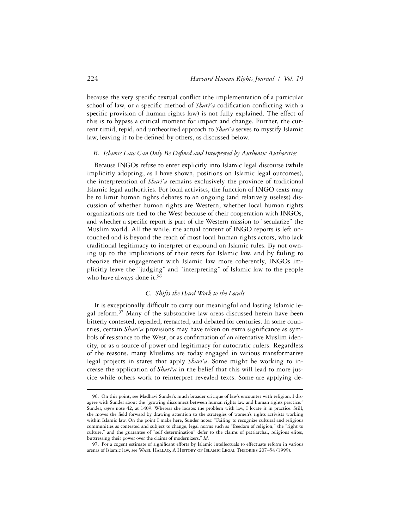because the very specific textual conflict (the implementation of a particular school of law, or a specific method of *Shari'a* codification conflicting with a specific provision of human rights law) is not fully explained. The effect of this is to bypass a critical moment for impact and change. Further, the current timid, tepid, and untheorized approach to *Shari'a* serves to mystify Islamic law, leaving it to be defined by others, as discussed below.

## **B.** Islamic Law Can Only Be Defined and Interpreted by Authentic Authorities

Because INGOs refuse to enter explicitly into Islamic legal discourse (while implicitly adopting, as I have shown, positions on Islamic legal outcomes), the interpretation of *Shari'a* remains exclusively the province of traditional Islamic legal authorities. For local activists, the function of INGO texts may be to limit human rights debates to an ongoing (and relatively useless) discussion of whether human rights are Western, whether local human rights organizations are tied to the West because of their cooperation with INGOs, and whether a specific report is part of the Western mission to "secularize" the Muslim world. All the while, the actual content of INGO reports is left untouched and is beyond the reach of most local human rights actors, who lack traditional legitimacy to interpret or expound on Islamic rules. By not owning up to the implications of their texts for Islamic law, and by failing to theorize their engagement with Islamic law more coherently, INGOs implicitly leave the "judging" and "interpreting" of Islamic law to the people who have always done it.<sup>96</sup>

## *C. Shifts the Hard Work to the Locals*

It is exceptionally difficult to carry out meaningful and lasting Islamic legal reform.97 Many of the substantive law areas discussed herein have been bitterly contested, repealed, reenacted, and debated for centuries. In some countries, certain *Shari'a* provisions may have taken on extra significance as symbols of resistance to the West, or as confirmation of an alternative Muslim identity, or as a source of power and legitimacy for autocratic rulers. Regardless of the reasons, many Muslims are today engaged in various transformative legal projects in states that apply *Shari'a*. Some might be working to increase the application of *Shari'a* in the belief that this will lead to more justice while others work to reinterpret revealed texts. Some are applying de-

<sup>96.</sup> On this point, see Madhavi Sunder's much broader critique of law's encounter with religion. I disagree with Sunder about the "growing disconnect between human rights law and human rights practice." Sunder, *supra* note 42, at 1409. Whereas she locates the problem with law, I locate it in practice. Still, she moves the field forward by drawing attention to the strategies of women's rights activists working within Islamic law. On the point I make here, Sunder notes: "Failing to recognize cultural and religious communities as contested and subject to change, legal norms such as "freedom of religion," the "right to culture," and the guarantee of "self determination" defer to the claims of patriarchal, religious elites, buttressing their power over the claims of modernizers." *Id*.

<sup>97.</sup> For a cogent estimate of significant efforts by Islamic intellectuals to effectuate reform in various arenas of Islamic law, see Wael Hallaq, A History of Islamic Legal Theories 207–54 (1999).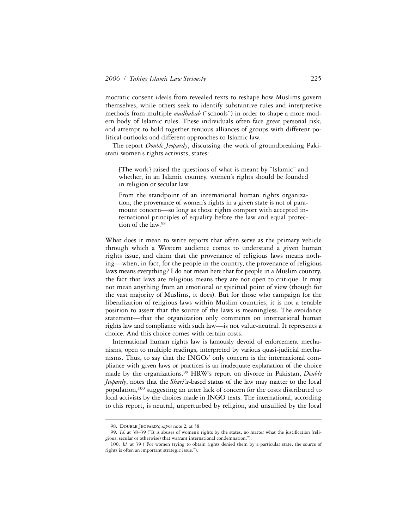mocratic consent ideals from revealed texts to reshape how Muslims govern themselves, while others seek to identify substantive rules and interpretive methods from multiple *madhahab* ("schools") in order to shape a more modern body of Islamic rules. These individuals often face great personal risk, and attempt to hold together tenuous alliances of groups with different political outlooks and different approaches to Islamic law.

The report *Double Jeopardy*, discussing the work of groundbreaking Pakistani women's rights activists, states:

[The work] raised the questions of what is meant by "Islamic" and whether, in an Islamic country, women's rights should be founded in religion or secular law.

From the standpoint of an international human rights organization, the provenance of women's rights in a given state is not of paramount concern—so long as those rights comport with accepted international principles of equality before the law and equal protection of the law.98

What does it mean to write reports that often serve as the primary vehicle through which a Western audience comes to understand a given human rights issue, and claim that the provenance of religious laws means nothing—when, in fact, for the people in the country, the provenance of religious laws means everything? I do not mean here that for people in a Muslim country, the fact that laws are religious means they are not open to critique. It may not mean anything from an emotional or spiritual point of view (though for the vast majority of Muslims, it does). But for those who campaign for the liberalization of religious laws within Muslim countries, it is not a tenable position to assert that the source of the laws is meaningless. The avoidance statement—that the organization only comments on international human rights law and compliance with such law—is not value-neutral. It represents a choice. And this choice comes with certain costs.

International human rights law is famously devoid of enforcement mechanisms, open to multiple readings, interpreted by various quasi-judicial mechanisms. Thus, to say that the INGOs' only concern is the international compliance with given laws or practices is an inadequate explanation of the choice made by the organizations.99 HRW's report on divorce in Pakistan, *Double Jeopardy*, notes that the *Shari'a*-based status of the law may matter to the local population,100 suggesting an utter lack of concern for the costs distributed to local activists by the choices made in INGO texts. The international, according to this report, is neutral, unperturbed by religion, and unsullied by the local

<sup>98.</sup> Double Jeopardy, *supra* note 2, at 38.

<sup>99.</sup> *Id.* at 38–39 ("It is abuses of women's rights by the states, no matter what the justification (religious, secular or otherwise) that warrant international condemnation.").

<sup>100.</sup> *Id.* at 39 ("For women trying to obtain rights denied them by a particular state, the source of rights is often an important strategic issue.").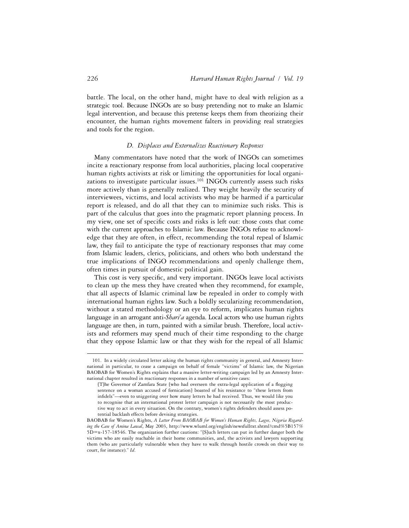battle. The local, on the other hand, might have to deal with religion as a strategic tool. Because INGOs are so busy pretending not to make an Islamic legal intervention, and because this pretense keeps them from theorizing their encounter, the human rights movement falters in providing real strategies and tools for the region.

## *D. Displaces and Externalizes Reactionary Responses*

Many commentators have noted that the work of INGOs can sometimes incite a reactionary response from local authorities, placing local cooperative human rights activists at risk or limiting the opportunities for local organizations to investigate particular issues.<sup>101</sup> INGOs currently assess such risks more actively than is generally realized. They weight heavily the security of interviewees, victims, and local activists who may be harmed if a particular report is released, and do all that they can to minimize such risks. This is part of the calculus that goes into the pragmatic report planning process. In my view, one set of specific costs and risks is left out: those costs that come with the current approaches to Islamic law. Because INGOs refuse to acknowledge that they are often, in effect, recommending the total repeal of Islamic law, they fail to anticipate the type of reactionary responses that may come from Islamic leaders, clerics, politicians, and others who both understand the true implications of INGO recommendations and openly challenge them, often times in pursuit of domestic political gain.

This cost is very specific, and very important. INGOs leave local activists to clean up the mess they have created when they recommend, for example, that all aspects of Islamic criminal law be repealed in order to comply with international human rights law. Such a boldly secularizing recommendation, without a stated methodology or an eye to reform, implicates human rights language in an arrogant anti-*Shari'a* agenda. Local actors who use human rights language are then, in turn, painted with a similar brush. Therefore, local activists and reformers may spend much of their time responding to the charge that they oppose Islamic law or that they wish for the repeal of all Islamic

<sup>101.</sup> In a widely circulated letter asking the human rights community in general, and Amnesty International in particular, to cease a campaign on behalf of female "victims" of Islamic law, the Nigerian BAOBAB for Women's Rights explains that a massive letter-writing campaign led by an Amnesty International chapter resulted in reactionary responses in a number of sensitive cases:

<sup>[</sup>T]he Governor of Zamfara State [who had overseen the extra-legal application of a flogging sentence on a woman accused of fornication] boasted of his resistance to "these letters from infidels"-even to sniggering over how many letters he had received. Thus, we would like you to recognise that an international protest letter campaign is not necessarily the most productive way to act in every situation. On the contrary, women's rights defenders should assess potential backlash effects before devising strategies.

BAOBAB for Women's Rights, *A Letter From BAOBAB for Women's Human Rights, Lagos, Nigeria Regarding the Case of Amina Lawal*, May 2003, http://www.wluml.org/english/newsfulltxt.shtml?cmd%5B157% 5D=x-157-18546. The organization further cautions: "[S]uch letters can put in further danger both the victims who are easily reachable in their home communities, and, the activists and lawyers supporting them (who are particularly vulnerable when they have to walk through hostile crowds on their way to court, for instance)." *Id*.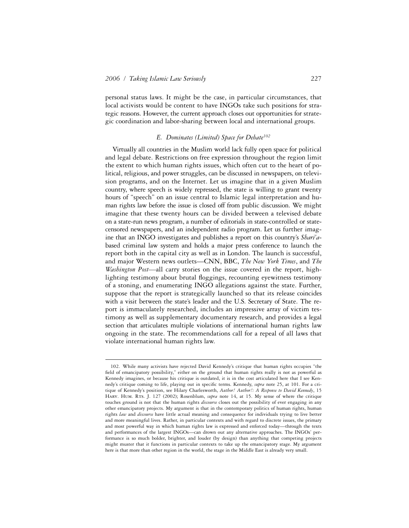1

personal status laws. It might be the case, in particular circumstances, that local activists would be content to have INGOs take such positions for strategic reasons. However, the current approach closes out opportunities for strategic coordination and labor-sharing between local and international groups.

## *E. Dominates (Limited) Space for Debate102*

Virtually all countries in the Muslim world lack fully open space for political and legal debate. Restrictions on free expression throughout the region limit the extent to which human rights issues, which often cut to the heart of political, religious, and power struggles, can be discussed in newspapers, on television programs, and on the Internet. Let us imagine that in a given Muslim country, where speech is widely repressed, the state is willing to grant twenty hours of "speech" on an issue central to Islamic legal interpretation and human rights law before the issue is closed off from public discussion. We might imagine that these twenty hours can be divided between a televised debate on a state-run news program, a number of editorials in state-controlled or statecensored newspapers, and an independent radio program. Let us further imagine that an INGO investigates and publishes a report on this country's *Shari'a*based criminal law system and holds a major press conference to launch the report both in the capital city as well as in London. The launch is successful, and major Western news outlets—CNN, BBC, *The New York Times*, and *The Washington Post—*all carry stories on the issue covered in the report, highlighting testimony about brutal floggings, recounting eyewitness testimony of a stoning, and enumerating INGO allegations against the state. Further, suppose that the report is strategically launched so that its release coincides with a visit between the state's leader and the U.S. Secretary of State. The report is immaculately researched, includes an impressive array of victim testimony as well as supplementary documentary research, and provides a legal section that articulates multiple violations of international human rights law ongoing in the state. The recommendations call for a repeal of all laws that violate international human rights law.

<sup>102.</sup> While many activists have rejected David Kennedy's critique that human rights occupies "the field of emancipatory possibility," either on the ground that human rights really is not as powerful as Kennedy imagines, or because his critique is outdated, it is in the cost articulated here that I see Kennedy's critique coming to life, playing out in specific terms. Kennedy, *supra* note 25, at 101. For a critique of Kennedy's position, see Hilary Charlesworth, *Author! Author!: A Response to David Kennedy*, 15 HARV. HUM. RTs. J. 127 (2002); Rosenblum, *supra* note 14, at 15. My sense of where the critique touches ground is not that the human rights *discourse* closes out the possibility of ever engaging in any other emancipatory projects. My argument is that in the contemporary politics of human rights, human rights *law* and *discourse* have little actual meaning and consequence for individuals trying to live better and more meaningful lives. Rather, in particular contexts and with regard to discrete issues, the primary and most powerful way in which human rights law is expressed and enforced today—through the texts and performances of the largest INGOs—can drown out any alternative approaches. The INGOs' performance is so much bolder, brighter, and louder (by design) than anything that competing projects might muster that it functions in particular contexts to take up the emancipatory stage. My argument here is that more than other region in the world, the stage in the Middle East is already very small.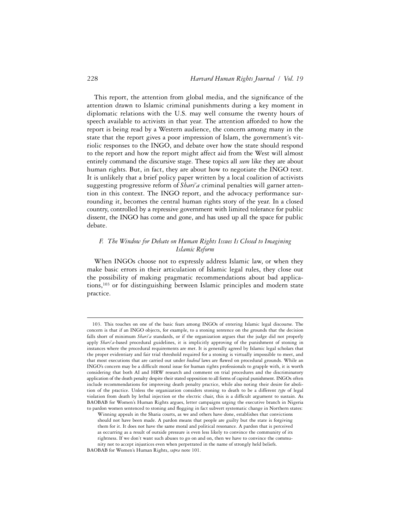This report, the attention from global media, and the significance of the attention drawn to Islamic criminal punishments during a key moment in diplomatic relations with the U.S. may well consume the twenty hours of speech available to activists in that year. The attention afforded to how the report is being read by a Western audience, the concern among many in the state that the report gives a poor impression of Islam, the government's vitriolic responses to the INGO, and debate over how the state should respond to the report and how the report might affect aid from the West will almost entirely command the discursive stage. These topics all *seem* like they are about human rights. But, in fact, they are about how to negotiate the INGO text. It is unlikely that a brief policy paper written by a local coalition of activists suggesting progressive reform of *Shari'a* criminal penalties will garner attention in this context. The INGO report, and the advocacy performance surrounding it, becomes the central human rights story of the year. In a closed country, controlled by a repressive government with limited tolerance for public dissent, the INGO has come and gone, and has used up all the space for public debate.

## *F. The Window for Debate on Human Rights Issues Is Closed to Imagining Islamic Reform*

When INGOs choose not to expressly address Islamic law, or when they make basic errors in their articulation of Islamic legal rules, they close out the possibility of making pragmatic recommendations about bad applications,103 or for distinguishing between Islamic principles and modern state practice.

<sup>103.</sup> This touches on one of the basic fears among INGOs of entering Islamic legal discourse. The concern is that if an INGO objects, for example, to a stoning sentence on the grounds that the decision falls short of minimum *Shari'a* standards, or if the organization argues that the judge did not properly apply *Shari'a*-based procedural guidelines, it is implicitly approving of the punishment of stoning in instances where the procedural requirements are met. It is generally agreed by Islamic legal scholars that the proper evidentiary and fair trial threshold required for a stoning is virtually impossible to meet, and that most executions that are carried out under *hudood* laws are flawed on procedural grounds. While an INGO's concern may be a difficult moral issue for human rights professionals to grapple with, it is worth considering that both AI and HRW research and comment on trial procedures and the discriminatory application of the death penalty despite their stated opposition to all forms of capital punishment. INGOs often include recommendations for improving death penalty practice, while also noting their desire for abolition of the practice. Unless the organization considers stoning to death to be a different *type* of legal violation from death by lethal injection or the electric chair, this is a difficult argument to sustain. As BAOBAB for Women's Human Rights argues, letter campaigns urging the executive branch in Nigeria to pardon women sentenced to stoning and flogging in fact subvert systematic change in Northern states:

Winning appeals in the Sharia courts, as we and others have done, establishes that convictions should not have been made. A pardon means that people are guilty but the state is forgiving them for it. It does not have the same moral and political resonance. A pardon that is perceived as occurring as a result of outside pressure is even less likely to convince the community of its rightness. If we don't want such abuses to go on and on, then we have to convince the community not to accept injustices even when perpetrated in the name of strongly held beliefs.

BAOBAB for Women's Human Rights, *supra* note 101.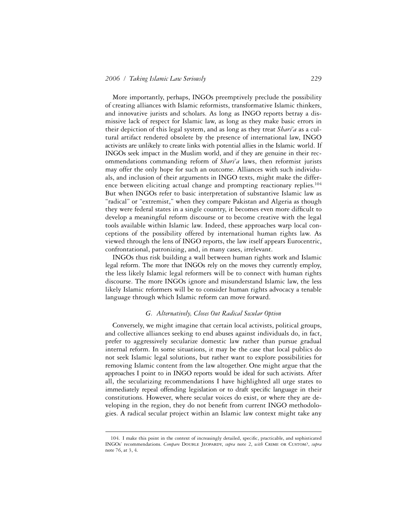More importantly, perhaps, INGOs preemptively preclude the possibility of creating alliances with Islamic reformists, transformative Islamic thinkers, and innovative jurists and scholars. As long as INGO reports betray a dismissive lack of respect for Islamic law, as long as they make basic errors in their depiction of this legal system, and as long as they treat *Shari'a* as a cultural artifact rendered obsolete by the presence of international law, INGO activists are unlikely to create links with potential allies in the Islamic world. If INGOs seek impact in the Muslim world, and if they are genuine in their recommendations commanding reform of *Shari'a* laws, then reformist jurists may offer the only hope for such an outcome. Alliances with such individuals, and inclusion of their arguments in INGO texts, might make the difference between eliciting actual change and prompting reactionary replies.<sup>104</sup> But when INGOs refer to basic interpretation of substantive Islamic law as "radical" or "extremist," when they compare Pakistan and Algeria as though they were federal states in a single country, it becomes even more difficult to develop a meaningful reform discourse or to become creative with the legal tools available within Islamic law. Indeed, these approaches warp local conceptions of the possibility offered by international human rights law. As viewed through the lens of INGO reports, the law itself appears Eurocentric, confrontational, patronizing, and, in many cases, irrelevant.

INGOs thus risk building a wall between human rights work and Islamic legal reform. The more that INGOs rely on the moves they currently employ, the less likely Islamic legal reformers will be to connect with human rights discourse. The more INGOs ignore and misunderstand Islamic law, the less likely Islamic reformers will be to consider human rights advocacy a tenable language through which Islamic reform can move forward.

#### *G. Alternatively, Closes Out Radical Secular Option*

Conversely, we might imagine that certain local activists, political groups, and collective alliances seeking to end abuses against individuals do, in fact, prefer to aggressively secularize domestic law rather than pursue gradual internal reform. In some situations, it may be the case that local publics do not seek Islamic legal solutions, but rather want to explore possibilities for removing Islamic content from the law altogether. One might argue that the approaches I point to in INGO reports would be ideal for such activists. After all, the secularizing recommendations I have highlighted all urge states to immediately repeal offending legislation or to draft specific language in their constitutions. However, where secular voices do exist, or where they are developing in the region, they do not benefit from current INGO methodologies. A radical secular project within an Islamic law context might take any

<sup>104.</sup> I make this point in the context of increasingly detailed, specific, practicable, and sophisticated INGOs' recommendations. *Compare* Double Jeopardy, *supra* note 2, *with* Crime or Custom?, *supra*  note 76, at 3, 4.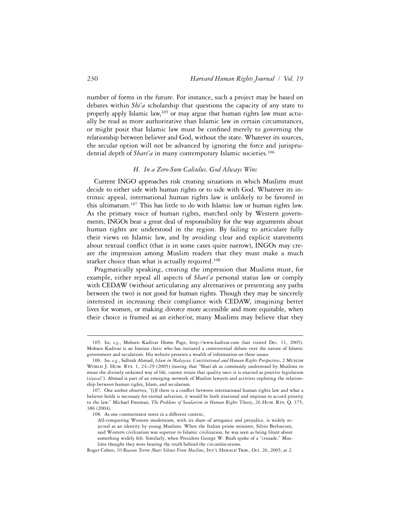number of forms in the future. For instance, such a project may be based on debates within *Shi'a* scholarship that questions the capacity of any state to properly apply Islamic law,<sup>105</sup> or may argue that human rights law must actually be read as more authoritative than Islamic law in certain circumstances, or might posit that Islamic law must be confined merely to governing the relationship between believer and God, without the state. Whatever its sources, the secular option will not be advanced by ignoring the force and jurisprudential depth of *Shari'a* in many contemporary Islamic societies.<sup>106</sup>

## *H. In a Zero-Sum Calculus, God Always Wins*

Current INGO approaches risk creating situations in which Muslims must decide to either side with human rights or to side with God. Whatever its intrinsic appeal, international human rights law is unlikely to be favored in this ultimatum.107 This has little to do with Islamic law or human rights law. As the primary voice of human rights, matched only by Western governments, INGOs bear a great deal of responsibility for the way arguments about human rights are understood in the region. By failing to articulate fully their views on Islamic law, and by avoiding clear and explicit statements about textual conflict (that is in some cases quite narrow), INGOs may create the impression among Muslim readers that they must make a much starker choice than what is actually required.<sup>108</sup>

Pragmatically speaking, creating the impression that Muslims must, for example, either repeal all aspects of *Shari'a* personal status law or comply with CEDAW (without articulating any alternatives or presenting any paths between the two) is not good for human rights. Though they may be sincerely interested in increasing their compliance with CEDAW, imagining better lives for women, or making divorce more accessible and more equitable, when their choice is framed as an either/or, many Muslims may believe that they

<sup>105.</sup> *See, e.g.*, Mohsen Kadivar Home Page, http://www.kadivar.com (last visited Dec. 11, 2005). Mohsen Kadivar is an Iranian cleric who has initiated a controversial debate over the nature of Islamic government and secularism. His website presents a wealth of information on these issues.

<sup>106.</sup> *See, e.g.*, Salbiah Ahmad, *Islam in Malaysia: Constitutional and Human Rights Perspectives*, 2 Muslim WORLD J. HUM. RTS. 1, 24–29 (2005) (noting that "Shari'ah as commonly understood by Muslims to mean the divinely ordained way of life, cannot retain that quality once it is enacted as positive legislation (*siyasa*)"). Ahmad is part of an emerging network of Muslim lawyers and activists exploring the relationship between human rights, Islam, and secularism.

<sup>107.</sup> One author observes, "[i]f there is a conflict between international human rights law and what a believer holds is necessary for eternal salvation, it would be both irrational and impious to accord priority to the law." Michael Freeman, *The Problems of Secularism in Human Rights Theory*, 26 HUM. RTs. Q. 375, 386 (2004).

<sup>108.</sup> As one commentator notes in a different context,

All-conquering Western modernism, with its share of arrogance and prejudice, is widely rejected as an identity by young Muslims. When the Italian prime minister, Silvio Berlusconi, said Western civilization was superior to Islamic civilization, he was seen as being blunt about something widely felt. Similarly, when President George W. Bush spoke of a "crusade," Muslims thought they were hearing the truth behind the circumlocutions.

Roger Cohen, 10 Reasons Terror Meets Silence From Muslims, INT'L HERALD TRIB., Oct. 26, 2005, at 2.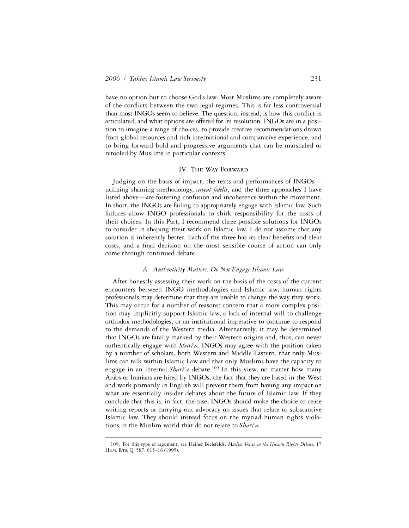have no option but to choose God's law. Most Muslims are completely aware of the conflicts between the two legal regimes. This is far less controversial than most INGOs seem to believe. The question, instead, is how this conflict is articulated, and what options are offered for its resolution. INGOs are in a position to imagine a range of choices, to provide creative recommendations drawn from global resources and rich international and comparative experience, and to bring forward bold and progressive arguments that can be marshaled or retooled by Muslims in particular contexts.

#### IV. THE WAY FORWARD

Judging on the basis of impact, the texts and performances of INGOs utilizing shaming methodology, *caveat fidelis*, and the three approaches I have listed above—are fostering confusion and incoherence within the movement. In short, the INGOs are failing to appropriately engage with Islamic law. Such failures allow INGO professionals to shirk responsibility for the costs of their choices. In this Part, I recommend three possible solutions for INGOs to consider in shaping their work on Islamic law. I do not assume that any solution is inherently better. Each of the three has its clear benefits and clear costs, and a final decision on the most sensible course of action can only come through continued debate.

#### *A. Authenticity Matters: Do Not Engage Islamic Law*

After honestly assessing their work on the basis of the costs of the current encounters between INGO methodologies and Islamic law, human rights professionals may determine that they are unable to change the way they work. This may occur for a number of reasons: concern that a more complex position may implicitly support Islamic law, a lack of internal will to challenge orthodox methodologies, or an institutional imperative to continue to respond to the demands of the Western media. Alternatively, it may be determined that INGOs are fatally marked by their Western origins and, thus, can never authentically engage with *Shari'a*. INGOs may agree with the position taken by a number of scholars, both Western and Middle Eastern, that only Muslims can talk within Islamic Law and that only Muslims have the capacity to engage in an internal *Shari'a* debate.<sup>109</sup> In this view, no matter how many Arabs or Iranians are hired by INGOs, the fact that they are based in the West and work primarily in English will prevent them from having any impact on what are essentially insider debates about the future of Islamic law. If they conclude that this is, in fact, the case, INGOs should make the choice to cease writing reports or carrying out advocacy on issues that relate to substantive Islamic law. They should instead focus on the myriad human rights violations in the Muslim world that do not relate to *Shari'a.*

<sup>109.</sup> For this type of argument, see Heiner Bielefeldt, *Muslim Voices in the Human Rights Debate*, 17 HUM. RTS. Q. 587, 615-16 (1995).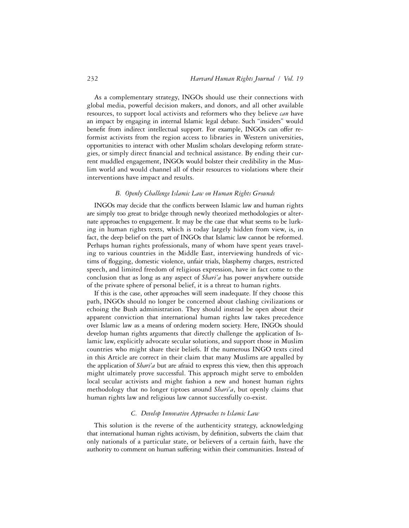As a complementary strategy, INGOs should use their connections with global media, powerful decision makers, and donors, and all other available resources, to support local activists and reformers who they believe *can* have an impact by engaging in internal Islamic legal debate. Such "insiders" would benefit from indirect intellectual support. For example, INGOs can offer reformist activists from the region access to libraries in Western universities, opportunities to interact with other Muslim scholars developing reform strategies, or simply direct financial and technical assistance. By ending their current muddled engagement, INGOs would bolster their credibility in the Muslim world and would channel all of their resources to violations where their interventions have impact and results.

#### *B. Openly Challenge Islamic Law on Human Rights Grounds*

INGOs may decide that the conflicts between Islamic law and human rights are simply too great to bridge through newly theorized methodologies or alternate approaches to engagement. It may be the case that what seems to be lurking in human rights texts, which is today largely hidden from view, is, in fact, the deep belief on the part of INGOs that Islamic law cannot be reformed. Perhaps human rights professionals, many of whom have spent years traveling to various countries in the Middle East, interviewing hundreds of victims of flogging, domestic violence, unfair trials, blasphemy charges, restricted speech, and limited freedom of religious expression, have in fact come to the conclusion that as long as any aspect of *Shari'a* has power anywhere outside of the private sphere of personal belief, it is a threat to human rights.

If this is the case, other approaches will seem inadequate. If they choose this path, INGOs should no longer be concerned about clashing civilizations or echoing the Bush administration. They should instead be open about their apparent conviction that international human rights law takes precedence over Islamic law as a means of ordering modern society. Here, INGOs should develop human rights arguments that directly challenge the application of Islamic law, explicitly advocate secular solutions, and support those in Muslim countries who might share their beliefs. If the numerous INGO texts cited in this Article are correct in their claim that many Muslims are appalled by the application of *Shari'a* but are afraid to express this view, then this approach might ultimately prove successful. This approach might serve to embolden local secular activists and might fashion a new and honest human rights methodology that no longer tiptoes around *Shari'a*, but openly claims that human rights law and religious law cannot successfully co-exist.

#### *C. Develop Innovative Approaches to Islamic Law*

This solution is the reverse of the authenticity strategy, acknowledging that international human rights activism, by definition, subverts the claim that only nationals of a particular state, or believers of a certain faith, have the authority to comment on human suffering within their communities. Instead of